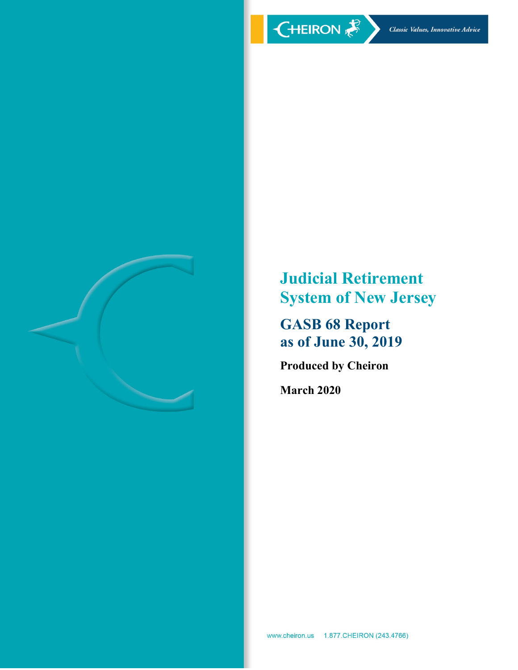





**Judicial Retirement System of New Jersey**

**GASB 68 Report as of June 30, 2019**

**Produced by Cheiron**

**March 2020**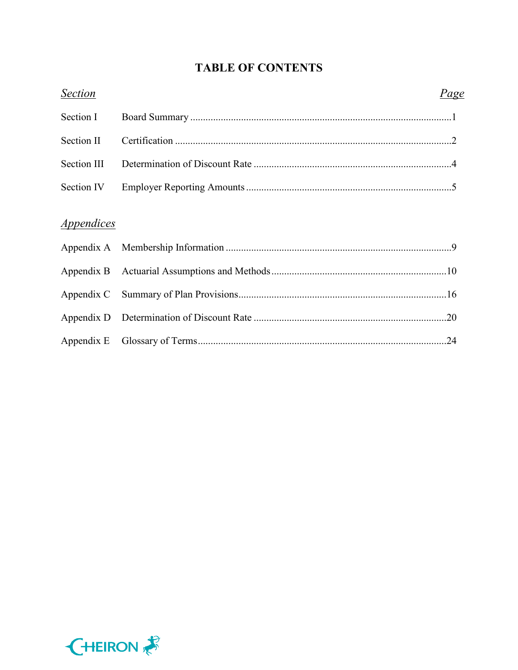# **TABLE OF CONTENTS**

| <b>Section</b>    | <u>Page</u> |  |
|-------------------|-------------|--|
| Section I         |             |  |
| Section II        |             |  |
| Section III       |             |  |
| Section IV        |             |  |
| <i>Appendices</i> |             |  |
|                   |             |  |
|                   |             |  |
|                   |             |  |
|                   |             |  |
|                   |             |  |
|                   |             |  |

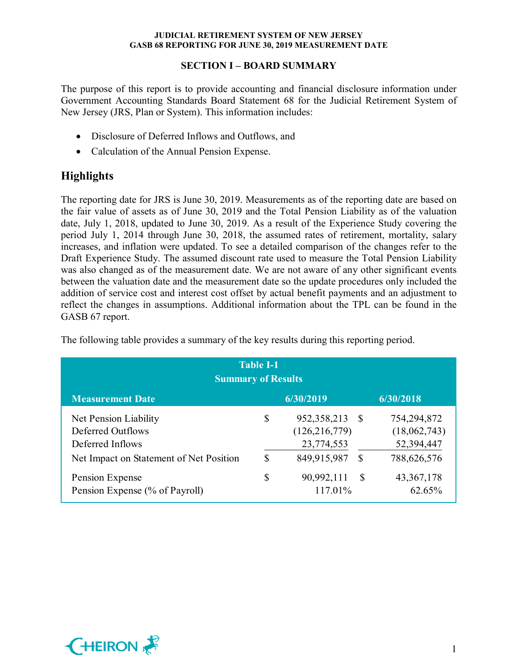## **SECTION I – BOARD SUMMARY**

The purpose of this report is to provide accounting and financial disclosure information under Government Accounting Standards Board Statement 68 for the Judicial Retirement System of New Jersey (JRS, Plan or System). This information includes:

- Disclosure of Deferred Inflows and Outflows, and
- Calculation of the Annual Pension Expense.

# **Highlights**

The reporting date for JRS is June 30, 2019. Measurements as of the reporting date are based on the fair value of assets as of June 30, 2019 and the Total Pension Liability as of the valuation date, July 1, 2018, updated to June 30, 2019. As a result of the Experience Study covering the period July 1, 2014 through June 30, 2018, the assumed rates of retirement, mortality, salary increases, and inflation were updated. To see a detailed comparison of the changes refer to the Draft Experience Study. The assumed discount rate used to measure the Total Pension Liability was also changed as of the measurement date. We are not aware of any other significant events between the valuation date and the measurement date so the update procedures only included the addition of service cost and interest cost offset by actual benefit payments and an adjustment to reflect the changes in assumptions. Additional information about the TPL can be found in the GASB 67 report.

| <b>Table I-1</b><br><b>Summary of Results</b>                                                             |          |                                                               |           |                                                          |  |
|-----------------------------------------------------------------------------------------------------------|----------|---------------------------------------------------------------|-----------|----------------------------------------------------------|--|
| <b>Measurement Date</b>                                                                                   |          | 6/30/2019                                                     |           | 6/30/2018                                                |  |
| Net Pension Liability<br>Deferred Outflows<br>Deferred Inflows<br>Net Impact on Statement of Net Position | \$<br>\$ | 952, 358, 213<br>(126, 216, 779)<br>23,774,553<br>849,915,987 | - \$<br>S | 754,294,872<br>(18,062,743)<br>52,394,447<br>788,626,576 |  |
| Pension Expense<br>Pension Expense (% of Payroll)                                                         | \$       | 90,992,111<br>117.01%                                         | -\$       | 43, 367, 178<br>62.65%                                   |  |

The following table provides a summary of the key results during this reporting period.

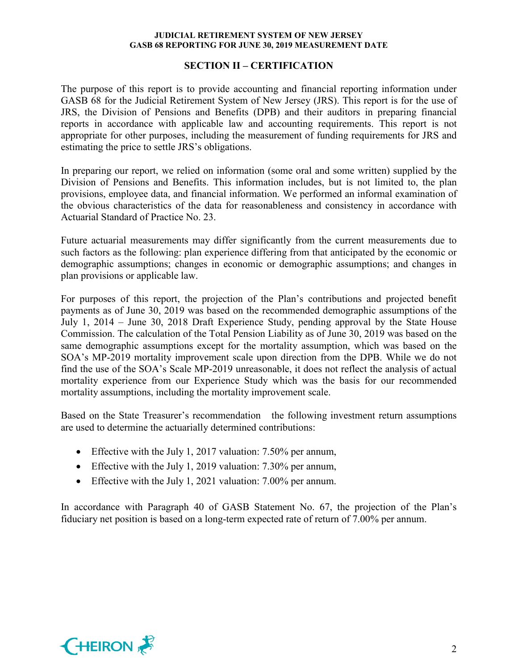#### **SECTION II – CERTIFICATION**

The purpose of this report is to provide accounting and financial reporting information under GASB 68 for the Judicial Retirement System of New Jersey (JRS). This report is for the use of JRS, the Division of Pensions and Benefits (DPB) and their auditors in preparing financial reports in accordance with applicable law and accounting requirements. This report is not appropriate for other purposes, including the measurement of funding requirements for JRS and estimating the price to settle JRS's obligations.

In preparing our report, we relied on information (some oral and some written) supplied by the Division of Pensions and Benefits. This information includes, but is not limited to, the plan provisions, employee data, and financial information. We performed an informal examination of the obvious characteristics of the data for reasonableness and consistency in accordance with Actuarial Standard of Practice No. 23.

Future actuarial measurements may differ significantly from the current measurements due to such factors as the following: plan experience differing from that anticipated by the economic or demographic assumptions; changes in economic or demographic assumptions; and changes in plan provisions or applicable law.

For purposes of this report, the projection of the Plan's contributions and projected benefit payments as of June 30, 2019 was based on the recommended demographic assumptions of the July 1, 2014 – June 30, 2018 Draft Experience Study, pending approval by the State House Commission. The calculation of the Total Pension Liability as of June 30, 2019 was based on the same demographic assumptions except for the mortality assumption, which was based on the SOA's MP-2019 mortality improvement scale upon direction from the DPB. While we do not find the use of the SOA's Scale MP-2019 unreasonable, it does not reflect the analysis of actual mortality experience from our Experience Study which was the basis for our recommended mortality assumptions, including the mortality improvement scale.

Based on the State Treasurer's recommendation the following investment return assumptions are used to determine the actuarially determined contributions:

- Effective with the July 1, 2017 valuation: 7.50% per annum,
- Effective with the July 1, 2019 valuation: 7.30% per annum,
- Effective with the July 1, 2021 valuation: 7.00% per annum.

In accordance with Paragraph 40 of GASB Statement No. 67, the projection of the Plan's fiduciary net position is based on a long-term expected rate of return of 7.00% per annum.

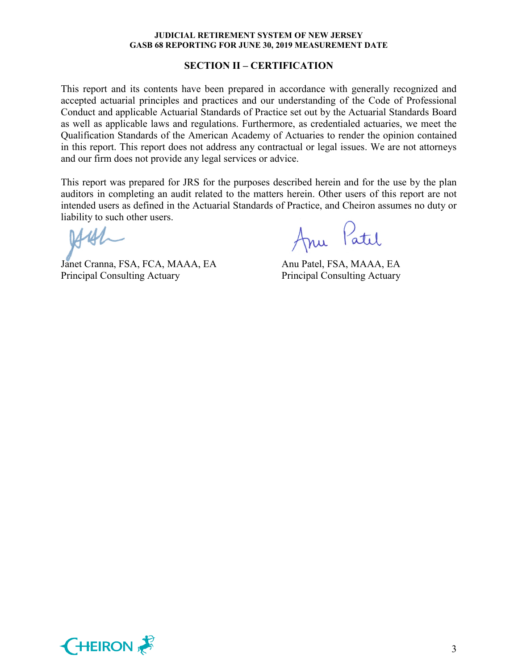#### **SECTION II – CERTIFICATION**

This report and its contents have been prepared in accordance with generally recognized and accepted actuarial principles and practices and our understanding of the Code of Professional Conduct and applicable Actuarial Standards of Practice set out by the Actuarial Standards Board as well as applicable laws and regulations. Furthermore, as credentialed actuaries, we meet the Qualification Standards of the American Academy of Actuaries to render the opinion contained in this report. This report does not address any contractual or legal issues. We are not attorneys and our firm does not provide any legal services or advice.

This report was prepared for JRS for the purposes described herein and for the use by the plan auditors in completing an audit related to the matters herein. Other users of this report are not intended users as defined in the Actuarial Standards of Practice, and Cheiron assumes no duty or liability to such other users.

Janet Cranna, FSA, FCA, MAAA, EA Anu Patel, FSA, MAAA, EA Principal Consulting Actuary Principal Consulting Actuary

Anu Patil

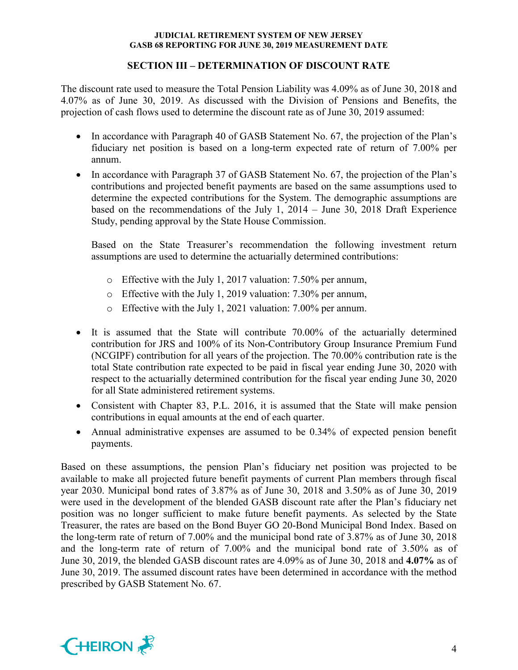## **SECTION III – DETERMINATION OF DISCOUNT RATE**

The discount rate used to measure the Total Pension Liability was 4.09% as of June 30, 2018 and 4.07% as of June 30, 2019. As discussed with the Division of Pensions and Benefits, the projection of cash flows used to determine the discount rate as of June 30, 2019 assumed:

- In accordance with Paragraph 40 of GASB Statement No. 67, the projection of the Plan's fiduciary net position is based on a long-term expected rate of return of 7.00% per annum.
- In accordance with Paragraph 37 of GASB Statement No. 67, the projection of the Plan's contributions and projected benefit payments are based on the same assumptions used to determine the expected contributions for the System. The demographic assumptions are based on the recommendations of the July 1, 2014 – June 30, 2018 Draft Experience Study, pending approval by the State House Commission.

Based on the State Treasurer's recommendation the following investment return assumptions are used to determine the actuarially determined contributions:

- o Effective with the July 1, 2017 valuation: 7.50% per annum,
- o Effective with the July 1, 2019 valuation: 7.30% per annum,
- o Effective with the July 1, 2021 valuation: 7.00% per annum.
- It is assumed that the State will contribute 70.00% of the actuarially determined contribution for JRS and 100% of its Non-Contributory Group Insurance Premium Fund (NCGIPF) contribution for all years of the projection. The 70.00% contribution rate is the total State contribution rate expected to be paid in fiscal year ending June 30, 2020 with respect to the actuarially determined contribution for the fiscal year ending June 30, 2020 for all State administered retirement systems.
- Consistent with Chapter 83, P.L. 2016, it is assumed that the State will make pension contributions in equal amounts at the end of each quarter.
- Annual administrative expenses are assumed to be 0.34% of expected pension benefit payments.

Based on these assumptions, the pension Plan's fiduciary net position was projected to be available to make all projected future benefit payments of current Plan members through fiscal year 2030. Municipal bond rates of 3.87% as of June 30, 2018 and 3.50% as of June 30, 2019 were used in the development of the blended GASB discount rate after the Plan's fiduciary net position was no longer sufficient to make future benefit payments. As selected by the State Treasurer, the rates are based on the Bond Buyer GO 20-Bond Municipal Bond Index. Based on the long-term rate of return of 7.00% and the municipal bond rate of 3.87% as of June 30, 2018 and the long-term rate of return of 7.00% and the municipal bond rate of 3.50% as of June 30, 2019, the blended GASB discount rates are 4.09% as of June 30, 2018 and **4.07%** as of June 30, 2019. The assumed discount rates have been determined in accordance with the method prescribed by GASB Statement No. 67.

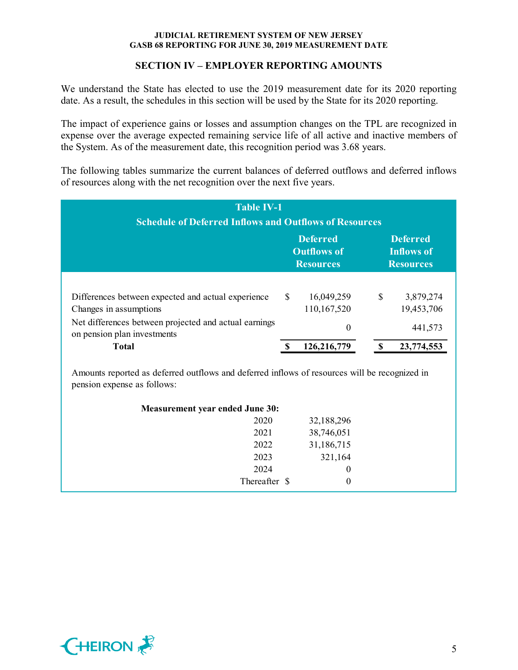## **SECTION IV – EMPLOYER REPORTING AMOUNTS**

We understand the State has elected to use the 2019 measurement date for its 2020 reporting date. As a result, the schedules in this section will be used by the State for its 2020 reporting.

The impact of experience gains or losses and assumption changes on the TPL are recognized in expense over the average expected remaining service life of all active and inactive members of the System. As of the measurement date, this recognition period was 3.68 years.

The following tables summarize the current balances of deferred outflows and deferred inflows of resources along with the net recognition over the next five years.

| <b>Table IV-1</b><br><b>Schedule of Deferred Inflows and Outflows of Resources</b>   |               |                                                           |              |                                                          |
|--------------------------------------------------------------------------------------|---------------|-----------------------------------------------------------|--------------|----------------------------------------------------------|
|                                                                                      |               | <b>Deferred</b><br><b>Outflows of</b><br><b>Resources</b> |              | <b>Deferred</b><br><b>Inflows of</b><br><b>Resources</b> |
| Differences between expected and actual experience<br>Changes in assumptions         | <sup>\$</sup> | 16,049,259<br>110,167,520                                 | $\mathbb{S}$ | 3,879,274<br>19,453,706                                  |
| Net differences between projected and actual earnings<br>on pension plan investments |               | $\theta$                                                  |              | 441,573                                                  |
| <b>Total</b>                                                                         |               | 126,216,779                                               | <b>S</b>     | 23,774,553                                               |

| <b>Measurement year ended June 30:</b> |               |            |  |
|----------------------------------------|---------------|------------|--|
|                                        | 2020          | 32,188,296 |  |
|                                        | 2021          | 38,746,051 |  |
|                                        | 2022          | 31,186,715 |  |
|                                        | 2023          | 321,164    |  |
|                                        | 2024          | 0          |  |
|                                        | Thereafter \$ | $\theta$   |  |

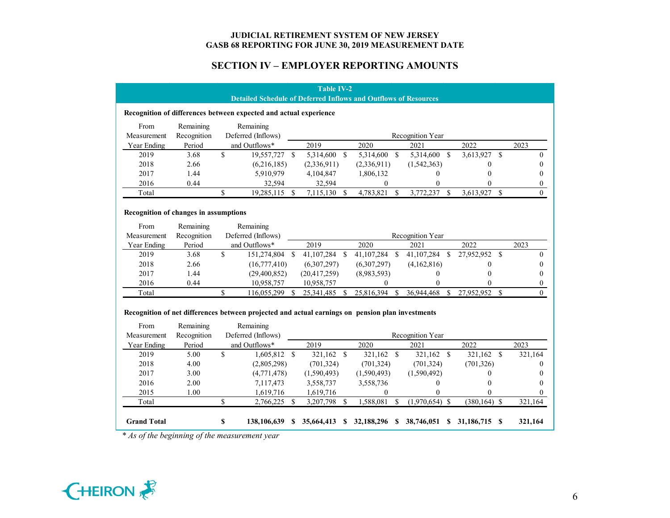## **SECTION IV – EMPLOYER REPORTING AMOUNTS**

|                                       |                          |                    |                                                                                                                                     | <b>Table IV-2</b> |                    |                  |               |                  |               |                  |      |                  |
|---------------------------------------|--------------------------|--------------------|-------------------------------------------------------------------------------------------------------------------------------------|-------------------|--------------------|------------------|---------------|------------------|---------------|------------------|------|------------------|
|                                       |                          |                    | <b>Detailed Schedule of Deferred Inflows and Outflows of Resources</b>                                                              |                   |                    |                  |               |                  |               |                  |      |                  |
|                                       |                          |                    | Recognition of differences between expected and actual experience                                                                   |                   |                    |                  |               |                  |               |                  |      |                  |
| From                                  | Remaining                |                    | Remaining                                                                                                                           |                   |                    |                  |               |                  |               |                  |      |                  |
| Measurement                           | Recognition              |                    | Deferred (Inflows)                                                                                                                  |                   |                    |                  |               | Recognition Year |               |                  |      |                  |
| Year Ending                           | Period                   |                    | and Outflows*                                                                                                                       | 2019              |                    | 2020             |               | 2021             |               | 2022             |      | 2023             |
| 2019                                  | 3.68                     | $\mathbf S$        | 19,557,727 \$                                                                                                                       | 5,314,600         | $\mathbf{\hat{s}}$ | 5,314,600        | $\mathcal{S}$ | 5,314,600        | $\mathbb{S}$  | 3,613,927        | - \$ | $\overline{0}$   |
| 2018                                  | 2.66                     |                    | (6,216,185)                                                                                                                         | (2,336,911)       |                    | (2,336,911)      |               | (1,542,363)      |               | 0                |      | $\Omega$         |
| 2017                                  | 1.44                     |                    | 5,910,979                                                                                                                           | 4,104,847         |                    | 1,806,132        |               | 0                |               | $\boldsymbol{0}$ |      | $\Omega$         |
| 2016                                  | 0.44                     |                    | 32,594                                                                                                                              | 32,594            |                    | $\bf{0}$         |               | $\mathbf{0}$     |               | 0                |      | $\boldsymbol{0}$ |
| Total                                 |                          | \$                 | 19,285,115 \$                                                                                                                       | 7,115,130 \$      |                    | 4,783,821        | -S            | 3,772,237 \$     |               | 3,613,927 \$     |      | $\Omega$         |
|                                       |                          |                    |                                                                                                                                     |                   |                    |                  |               |                  |               |                  |      |                  |
| Recognition of changes in assumptions |                          |                    |                                                                                                                                     |                   |                    |                  |               |                  |               |                  |      |                  |
| From                                  | Remaining                |                    | Remaining                                                                                                                           |                   |                    |                  |               |                  |               |                  |      |                  |
| Measurement                           | Recognition              |                    | Deferred (Inflows)                                                                                                                  |                   |                    |                  |               | Recognition Year |               |                  |      |                  |
| Year Ending                           | Period                   |                    | and Outflows*                                                                                                                       | 2019              |                    | 2020             |               | 2021             |               | 2022             |      | 2023             |
| 2019                                  | 3.68                     | \$                 | 151,274,804 \$                                                                                                                      | 41,107,284 \$     |                    | 41,107,284 \$    |               | 41,107,284       | <sup>\$</sup> | 27,952,952 \$    |      | $\overline{0}$   |
| 2018                                  | 2.66                     |                    | (16,777,410)                                                                                                                        | (6,307,297)       |                    | (6,307,297)      |               | (4,162,816)      |               | $\Omega$         |      | $\Omega$         |
| 2017                                  | 1.44                     |                    | (29,400,852)                                                                                                                        | (20, 417, 259)    |                    | (8,983,593)      |               | $\mathbf{0}$     |               | $\theta$         |      | $\theta$         |
| 2016                                  | 0.44                     |                    | 10,958,757                                                                                                                          | 10,958,757        |                    | $\theta$         |               | 0                |               | 0                |      | $\overline{0}$   |
| Total                                 |                          | \$                 | 116,055,299 \$                                                                                                                      | 25,341,485 \$     |                    | 25,816,394 \$    |               | 36,944,468       | $\mathbb{S}$  | 27,952,952 \$    |      | $\Omega$         |
| From<br>Measurement                   | Remaining<br>Recognition |                    | Recognition of net differences between projected and actual earnings on pension plan investments<br>Remaining<br>Deferred (Inflows) |                   |                    |                  |               | Recognition Year |               |                  |      |                  |
| Year Ending                           | Period                   |                    | and Outflows*                                                                                                                       | 2019              |                    | 2020             |               | 2021             |               | 2022             |      | 2023             |
| 2019                                  | 5.00                     | $\mathbf{\hat{S}}$ | 1,605,812 \$                                                                                                                        | 321,162 \$        |                    | 321,162 \$       |               | 321,162 \$       |               | 321,162 \$       |      | 321,164          |
| 2018                                  | 4.00                     |                    | (2,805,298)                                                                                                                         | (701, 324)        |                    | (701, 324)       |               | (701, 324)       |               | (701, 326)       |      | $\Omega$         |
| 2017                                  | 3.00                     |                    | (4,771,478)                                                                                                                         | (1,590,493)       |                    | (1,590,493)      |               | (1,590,492)      |               | $\mathbf{0}$     |      | $\theta$         |
| 2016                                  | 2.00                     |                    | 7,117,473                                                                                                                           | 3,558,737         |                    | 3,558,736        |               | $\boldsymbol{0}$ |               | $\theta$         |      | $\theta$         |
| 2015                                  | 1.00                     |                    | 1,619,716                                                                                                                           | 1,619,716         |                    | $\boldsymbol{0}$ |               | $\theta$         |               |                  |      | $\Omega$         |
| Total                                 |                          | \$                 | 2,766,225 \$                                                                                                                        | 3,207,798 \$      |                    | 1,588,081        | $\mathbb{S}$  | $(1,970,654)$ \$ |               | $(380, 164)$ \$  |      | 321,164          |
|                                       |                          |                    |                                                                                                                                     |                   |                    |                  |               |                  |               |                  |      |                  |
|                                       |                          |                    |                                                                                                                                     |                   |                    |                  |               |                  |               |                  |      |                  |

*\* As of the beginning of the measurement year*

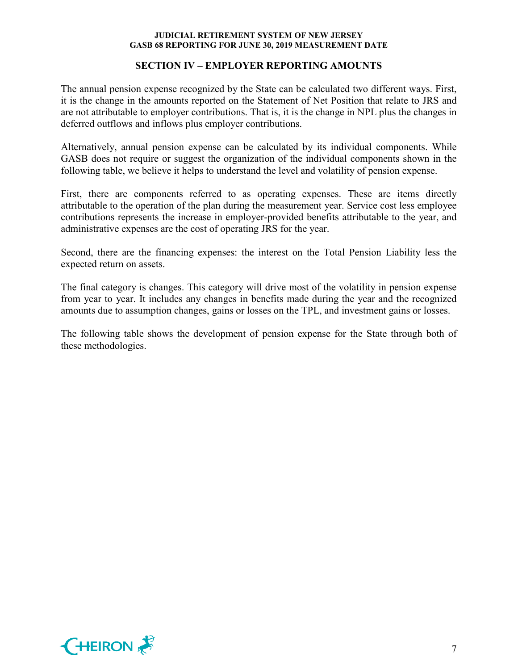## **SECTION IV – EMPLOYER REPORTING AMOUNTS**

The annual pension expense recognized by the State can be calculated two different ways. First, it is the change in the amounts reported on the Statement of Net Position that relate to JRS and are not attributable to employer contributions. That is, it is the change in NPL plus the changes in deferred outflows and inflows plus employer contributions.

Alternatively, annual pension expense can be calculated by its individual components. While GASB does not require or suggest the organization of the individual components shown in the following table, we believe it helps to understand the level and volatility of pension expense.

First, there are components referred to as operating expenses. These are items directly attributable to the operation of the plan during the measurement year. Service cost less employee contributions represents the increase in employer-provided benefits attributable to the year, and administrative expenses are the cost of operating JRS for the year.

Second, there are the financing expenses: the interest on the Total Pension Liability less the expected return on assets.

The final category is changes. This category will drive most of the volatility in pension expense from year to year. It includes any changes in benefits made during the year and the recognized amounts due to assumption changes, gains or losses on the TPL, and investment gains or losses.

The following table shows the development of pension expense for the State through both of these methodologies.

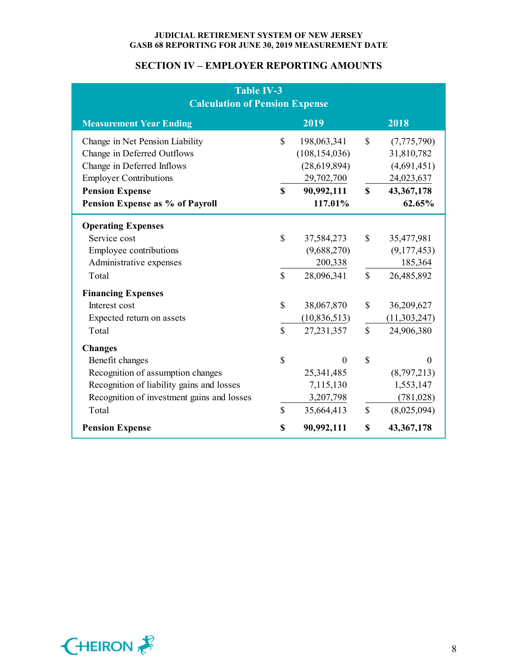## **SECTION IV – EMPLOYER REPORTING AMOUNTS**

| Table IV-3<br><b>Calculation of Pension Expense</b>            |              |                                |              |                           |  |
|----------------------------------------------------------------|--------------|--------------------------------|--------------|---------------------------|--|
| <b>Measurement Year Ending</b>                                 |              | 2019                           |              | 2018                      |  |
| Change in Net Pension Liability<br>Change in Deferred Outflows | \$           | 198,063,341<br>(108, 154, 036) | \$           | (7,775,790)               |  |
| Change in Deferred Inflows                                     |              | (28,619,894)                   |              | 31,810,782<br>(4,691,451) |  |
| <b>Employer Contributions</b>                                  |              | 29,702,700                     |              | 24,023,637                |  |
| <b>Pension Expense</b>                                         | $\mathbf S$  | 90,992,111                     | $\mathbf S$  | 43, 367, 178              |  |
| Pension Expense as % of Payroll                                |              | 117.01%                        |              | 62.65%                    |  |
| <b>Operating Expenses</b>                                      |              |                                |              |                           |  |
| Service cost                                                   | $\mathbb{S}$ | 37,584,273                     | $\mathbb{S}$ | 35,477,981                |  |
| Employee contributions                                         |              | (9,688,270)                    |              | (9,177,453)               |  |
| Administrative expenses                                        |              | 200,338                        |              | 185,364                   |  |
| Total                                                          | $\mathbf S$  | 28,096,341                     | $\mathbb{S}$ | 26,485,892                |  |
| <b>Financing Expenses</b>                                      |              |                                |              |                           |  |
| Interest cost                                                  | $\mathbb{S}$ | 38,067,870                     | $\mathbb{S}$ | 36,209,627                |  |
| Expected return on assets                                      |              | (10, 836, 513)                 |              | (11,303,247)              |  |
| Total                                                          | $\mathbf S$  | 27, 231, 357                   | $\mathbf S$  | 24,906,380                |  |
| <b>Changes</b>                                                 |              |                                |              |                           |  |
| Benefit changes                                                | \$           | $\Omega$                       | \$           | $\Omega$                  |  |
| Recognition of assumption changes                              |              | 25,341,485                     |              | (8,797,213)               |  |
| Recognition of liability gains and losses                      |              | 7,115,130                      |              | 1,553,147                 |  |
| Recognition of investment gains and losses                     |              | 3,207,798                      |              | (781, 028)                |  |
| Total                                                          | $\mathbf S$  | 35,664,413                     | $\mathbb{S}$ | (8,025,094)               |  |
| <b>Pension Expense</b>                                         | \$           | 90,992,111                     | \$           | 43,367,178                |  |

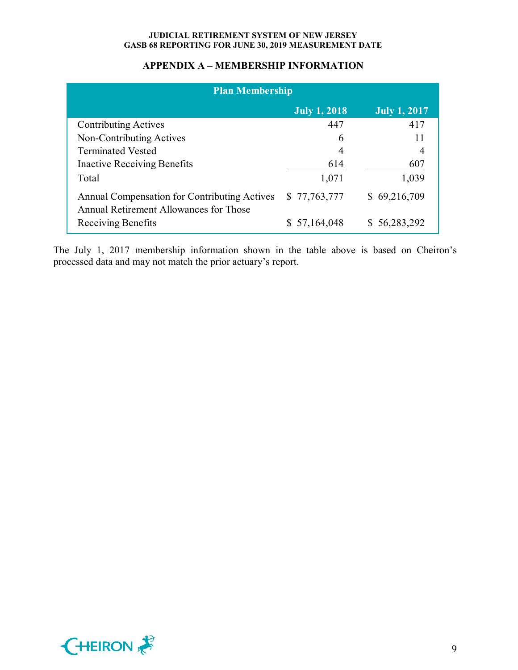## **APPENDIX A – MEMBERSHIP INFORMATION**

| <b>Plan Membership</b>                                                                 |               |                     |
|----------------------------------------------------------------------------------------|---------------|---------------------|
|                                                                                        | July $1,2018$ | <b>July 1, 2017</b> |
| <b>Contributing Actives</b>                                                            | 447           | 417                 |
| Non-Contributing Actives                                                               | 6             | 11                  |
| <b>Terminated Vested</b>                                                               | 4             |                     |
| <b>Inactive Receiving Benefits</b>                                                     | 614           | 607                 |
| Total                                                                                  | 1,071         | 1,039               |
| Annual Compensation for Contributing Actives<br>Annual Retirement Allowances for Those | \$77,763,777  | \$69,216,709        |
| Receiving Benefits                                                                     | \$57,164,048  | \$56,283,292        |

The July 1, 2017 membership information shown in the table above is based on Cheiron's processed data and may not match the prior actuary's report.

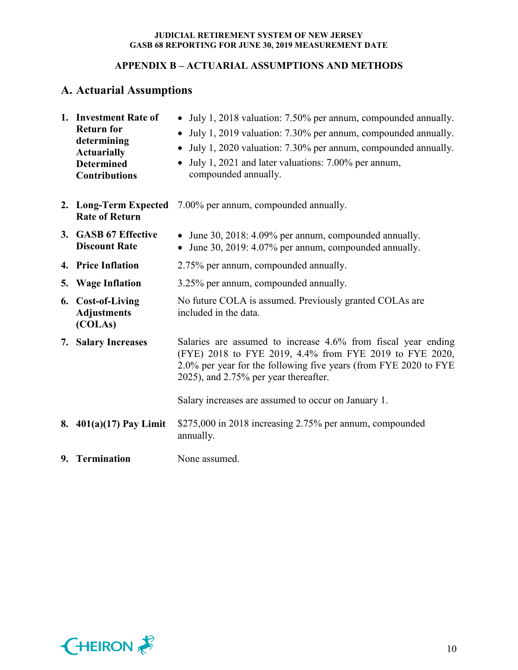## **APPENDIX B – ACTUARIAL ASSUMPTIONS AND METHODS**

# **A. Actuarial Assumptions**

| 1. Investment Rate of<br><b>Return for</b><br>determining<br><b>Actuarially</b><br><b>Determined</b><br><b>Contributions</b> | • July 1, 2018 valuation: 7.50% per annum, compounded annually.<br>July 1, 2019 valuation: 7.30% per annum, compounded annually.<br>July 1, 2020 valuation: 7.30% per annum, compounded annually.<br>$\bullet$<br>July 1, 2021 and later valuations: 7.00% per annum,<br>$\bullet$<br>compounded annually. |
|------------------------------------------------------------------------------------------------------------------------------|------------------------------------------------------------------------------------------------------------------------------------------------------------------------------------------------------------------------------------------------------------------------------------------------------------|
| <b>Rate of Return</b>                                                                                                        | 2. Long-Term Expected 7.00% per annum, compounded annually.                                                                                                                                                                                                                                                |
| 3. GASB 67 Effective<br><b>Discount Rate</b>                                                                                 | • June 30, 2018: 4.09% per annum, compounded annually.<br>• June 30, 2019: 4.07% per annum, compounded annually.                                                                                                                                                                                           |
| 4. Price Inflation                                                                                                           | 2.75% per annum, compounded annually.                                                                                                                                                                                                                                                                      |
| 5. Wage Inflation                                                                                                            | 3.25% per annum, compounded annually.                                                                                                                                                                                                                                                                      |
| 6. Cost-of-Living<br><b>Adjustments</b><br>(COLAs)                                                                           | No future COLA is assumed. Previously granted COLAs are<br>included in the data.                                                                                                                                                                                                                           |
| 7. Salary Increases                                                                                                          | Salaries are assumed to increase 4.6% from fiscal year ending<br>(FYE) 2018 to FYE 2019, 4.4% from FYE 2019 to FYE 2020,<br>2.0% per year for the following five years (from FYE 2020 to FYE<br>2025), and 2.75% per year thereafter.                                                                      |
|                                                                                                                              | Salary increases are assumed to occur on January 1.                                                                                                                                                                                                                                                        |
| 8. $401(a)(17)$ Pay Limit                                                                                                    | \$275,000 in 2018 increasing 2.75% per annum, compounded<br>annually.                                                                                                                                                                                                                                      |
| 9. Termination                                                                                                               | None assumed.                                                                                                                                                                                                                                                                                              |

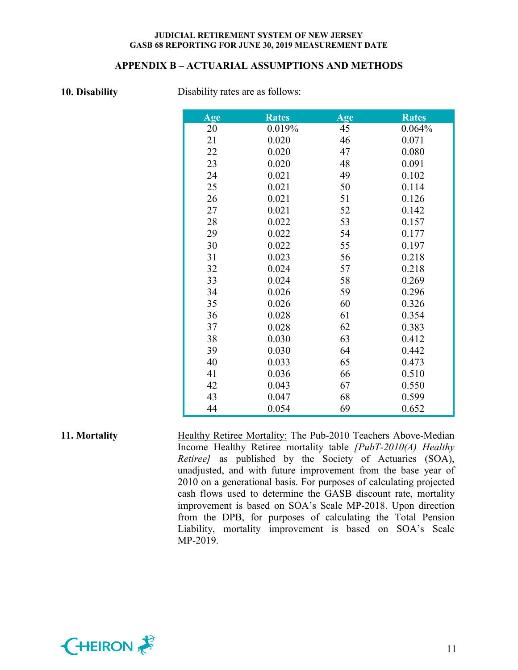#### **APPENDIX B – ACTUARIAL ASSUMPTIONS AND METHODS**

**10. Disability** Disability rates are as follows:

| Age | <b>Rates</b> | Age | <b>Rates</b> |
|-----|--------------|-----|--------------|
| 20  | 0.019%       | 45  | 0.064%       |
| 21  | 0.020        | 46  | 0.071        |
| 22  | 0.020        | 47  | 0.080        |
| 23  | 0.020        | 48  | 0.091        |
| 24  | 0.021        | 49  | 0.102        |
| 25  | 0.021        | 50  | 0.114        |
| 26  | 0.021        | 51  | 0.126        |
| 27  | 0.021        | 52  | 0.142        |
| 28  | 0.022        | 53  | 0.157        |
| 29  | 0.022        | 54  | 0.177        |
| 30  | 0.022        | 55  | 0.197        |
| 31  | 0.023        | 56  | 0.218        |
| 32  | 0.024        | 57  | 0.218        |
| 33  | 0.024        | 58  | 0.269        |
| 34  | 0.026        | 59  | 0.296        |
| 35  | 0.026        | 60  | 0.326        |
| 36  | 0.028        | 61  | 0.354        |
| 37  | 0.028        | 62  | 0.383        |
| 38  | 0.030        | 63  | 0.412        |
| 39  | 0.030        | 64  | 0.442        |
| 40  | 0.033        | 65  | 0.473        |
| 41  | 0.036        | 66  | 0.510        |
| 42  | 0.043        | 67  | 0.550        |
| 43  | 0.047        | 68  | 0.599        |
| 44  | 0.054        | 69  | 0.652        |

## **11. Mortality Healthy Retiree Mortality:** The Pub-2010 Teachers Above-Median Income Healthy Retiree mortality table *[PubT-2010(A) Healthy Retiree]* as published by the Society of Actuaries (SOA), unadjusted, and with future improvement from the base year of 2010 on a generational basis. For purposes of calculating projected cash flows used to determine the GASB discount rate, mortality improvement is based on SOA's Scale MP-2018. Upon direction from the DPB, for purposes of calculating the Total Pension Liability, mortality improvement is based on SOA's Scale MP-2019.

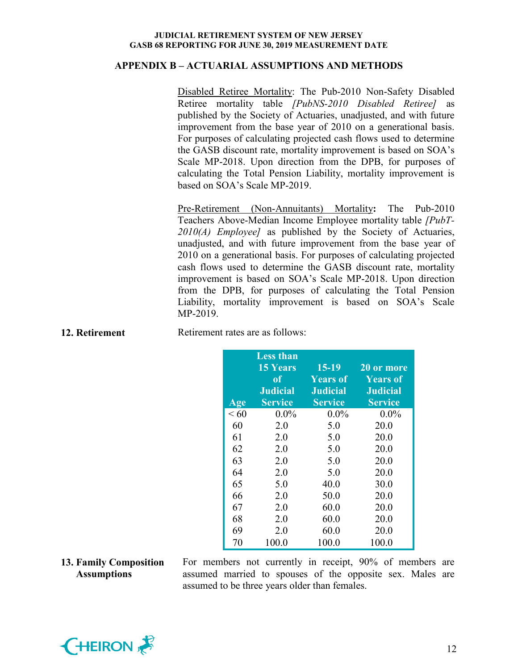#### **APPENDIX B – ACTUARIAL ASSUMPTIONS AND METHODS**

Disabled Retiree Mortality: The Pub-2010 Non-Safety Disabled Retiree mortality table *[PubNS-2010 Disabled Retiree]* as published by the Society of Actuaries, unadjusted, and with future improvement from the base year of 2010 on a generational basis. For purposes of calculating projected cash flows used to determine the GASB discount rate, mortality improvement is based on SOA's Scale MP-2018. Upon direction from the DPB, for purposes of calculating the Total Pension Liability, mortality improvement is based on SOA's Scale MP-2019.

Pre-Retirement (Non-Annuitants) Mortality**:** The Pub-2010 Teachers Above-Median Income Employee mortality table *[PubT-2010(A) Employee]* as published by the Society of Actuaries, unadjusted, and with future improvement from the base year of 2010 on a generational basis. For purposes of calculating projected cash flows used to determine the GASB discount rate, mortality improvement is based on SOA's Scale MP-2018. Upon direction from the DPB, for purposes of calculating the Total Pension Liability, mortality improvement is based on SOA's Scale MP-2019.

| 12. Retirement | Retirement rates are as follows: |
|----------------|----------------------------------|
|                |                                  |

| Age  | <b>Less than</b><br><b>15 Years</b><br>0f<br><b>Judicial</b><br><b>Service</b> | $15-19$<br><b>Years of</b><br><b>Judicial</b><br><b>Service</b> | 20 or more<br><b>Years of</b><br><b>Judicial</b><br><b>Service</b> |
|------|--------------------------------------------------------------------------------|-----------------------------------------------------------------|--------------------------------------------------------------------|
| < 60 | $0.0\%$                                                                        | $0.0\%$                                                         | $0.0\%$                                                            |
| 60   | 2.0                                                                            | 5.0                                                             | 20.0                                                               |
| 61   | 2.0                                                                            | 5.0                                                             | 20.0                                                               |
| 62   | 2.0                                                                            | 5.0                                                             | 20.0                                                               |
| 63   | 2.0                                                                            | 5.0                                                             | 20.0                                                               |
| 64   | 2.0                                                                            | 5.0                                                             | 20.0                                                               |
| 65   | 5.0                                                                            | 40.0                                                            | 30.0                                                               |
| 66   | 2.0                                                                            | 50.0                                                            | 20.0                                                               |
| 67   | 2.0                                                                            | 60.0                                                            | 20.0                                                               |
| 68   | 2.0                                                                            | 60.0                                                            | 20.0                                                               |
| 69   | 2.0                                                                            | 60.0                                                            | 20.0                                                               |
| 70   | 100.0                                                                          | 100.0                                                           | 100.0                                                              |

#### **13. Family Composition Assumptions**

For members not currently in receipt, 90% of members are assumed married to spouses of the opposite sex. Males are assumed to be three years older than females.

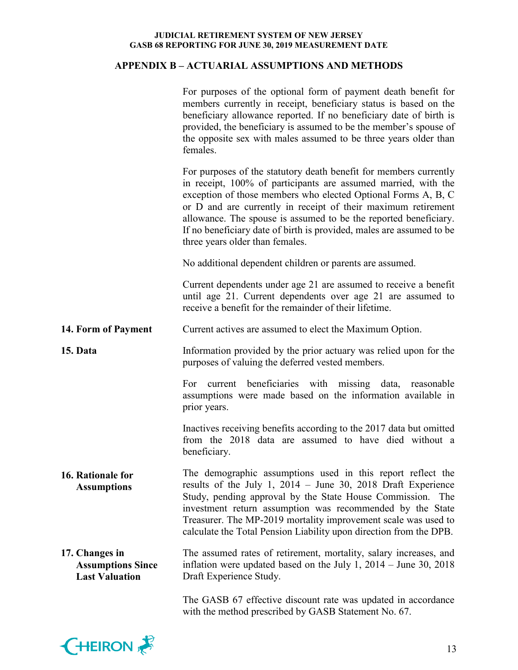## **APPENDIX B – ACTUARIAL ASSUMPTIONS AND METHODS**

|                                                                     | For purposes of the optional form of payment death benefit for<br>members currently in receipt, beneficiary status is based on the<br>beneficiary allowance reported. If no beneficiary date of birth is<br>provided, the beneficiary is assumed to be the member's spouse of<br>the opposite sex with males assumed to be three years older than<br>females.                                                                                        |
|---------------------------------------------------------------------|------------------------------------------------------------------------------------------------------------------------------------------------------------------------------------------------------------------------------------------------------------------------------------------------------------------------------------------------------------------------------------------------------------------------------------------------------|
|                                                                     | For purposes of the statutory death benefit for members currently<br>in receipt, 100% of participants are assumed married, with the<br>exception of those members who elected Optional Forms A, B, C<br>or D and are currently in receipt of their maximum retirement<br>allowance. The spouse is assumed to be the reported beneficiary.<br>If no beneficiary date of birth is provided, males are assumed to be<br>three years older than females. |
|                                                                     | No additional dependent children or parents are assumed.                                                                                                                                                                                                                                                                                                                                                                                             |
|                                                                     | Current dependents under age 21 are assumed to receive a benefit<br>until age 21. Current dependents over age 21 are assumed to<br>receive a benefit for the remainder of their lifetime.                                                                                                                                                                                                                                                            |
| 14. Form of Payment                                                 | Current actives are assumed to elect the Maximum Option.                                                                                                                                                                                                                                                                                                                                                                                             |
| 15. Data                                                            | Information provided by the prior actuary was relied upon for the<br>purposes of valuing the deferred vested members.                                                                                                                                                                                                                                                                                                                                |
|                                                                     | current beneficiaries with missing data, reasonable<br>For<br>assumptions were made based on the information available in<br>prior years.                                                                                                                                                                                                                                                                                                            |
|                                                                     | Inactives receiving benefits according to the 2017 data but omitted<br>from the 2018 data are assumed to have died without a<br>beneficiary.                                                                                                                                                                                                                                                                                                         |
| 16. Rationale for<br><b>Assumptions</b>                             | The demographic assumptions used in this report reflect the<br>results of the July 1, $2014 -$ June 30, 2018 Draft Experience<br>Study, pending approval by the State House Commission.<br>The<br>investment return assumption was recommended by the State<br>Treasurer. The MP-2019 mortality improvement scale was used to<br>calculate the Total Pension Liability upon direction from the DPB.                                                  |
| 17. Changes in<br><b>Assumptions Since</b><br><b>Last Valuation</b> | The assumed rates of retirement, mortality, salary increases, and<br>inflation were updated based on the July 1, $2014 -$ June 30, $2018$<br>Draft Experience Study.                                                                                                                                                                                                                                                                                 |
|                                                                     | The GASB 67 effective discount rate was updated in accordance<br>with the method prescribed by GASB Statement No. 67.                                                                                                                                                                                                                                                                                                                                |

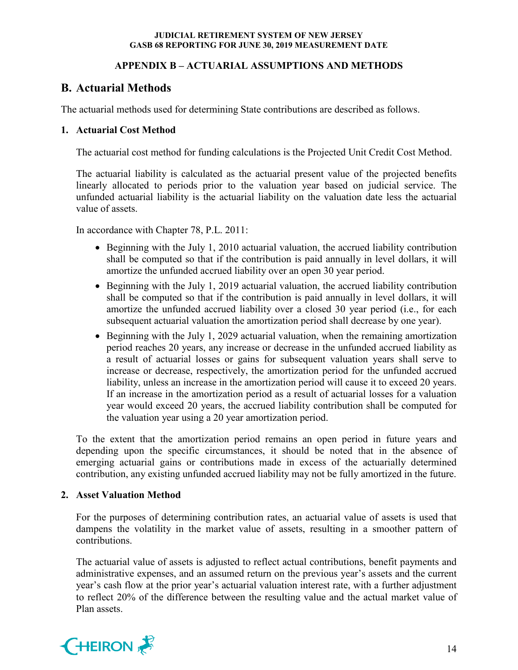## **APPENDIX B – ACTUARIAL ASSUMPTIONS AND METHODS**

# **B. Actuarial Methods**

The actuarial methods used for determining State contributions are described as follows.

## **1. Actuarial Cost Method**

The actuarial cost method for funding calculations is the Projected Unit Credit Cost Method.

The actuarial liability is calculated as the actuarial present value of the projected benefits linearly allocated to periods prior to the valuation year based on judicial service. The unfunded actuarial liability is the actuarial liability on the valuation date less the actuarial value of assets.

In accordance with Chapter 78, P.L. 2011:

- Beginning with the July 1, 2010 actuarial valuation, the accrued liability contribution shall be computed so that if the contribution is paid annually in level dollars, it will amortize the unfunded accrued liability over an open 30 year period.
- Beginning with the July 1, 2019 actuarial valuation, the accrued liability contribution shall be computed so that if the contribution is paid annually in level dollars, it will amortize the unfunded accrued liability over a closed 30 year period (i.e., for each subsequent actuarial valuation the amortization period shall decrease by one year).
- Beginning with the July 1, 2029 actuarial valuation, when the remaining amortization period reaches 20 years, any increase or decrease in the unfunded accrued liability as a result of actuarial losses or gains for subsequent valuation years shall serve to increase or decrease, respectively, the amortization period for the unfunded accrued liability, unless an increase in the amortization period will cause it to exceed 20 years. If an increase in the amortization period as a result of actuarial losses for a valuation year would exceed 20 years, the accrued liability contribution shall be computed for the valuation year using a 20 year amortization period.

To the extent that the amortization period remains an open period in future years and depending upon the specific circumstances, it should be noted that in the absence of emerging actuarial gains or contributions made in excess of the actuarially determined contribution, any existing unfunded accrued liability may not be fully amortized in the future.

#### **2. Asset Valuation Method**

For the purposes of determining contribution rates, an actuarial value of assets is used that dampens the volatility in the market value of assets, resulting in a smoother pattern of contributions.

The actuarial value of assets is adjusted to reflect actual contributions, benefit payments and administrative expenses, and an assumed return on the previous year's assets and the current year's cash flow at the prior year's actuarial valuation interest rate, with a further adjustment to reflect 20% of the difference between the resulting value and the actual market value of Plan assets.

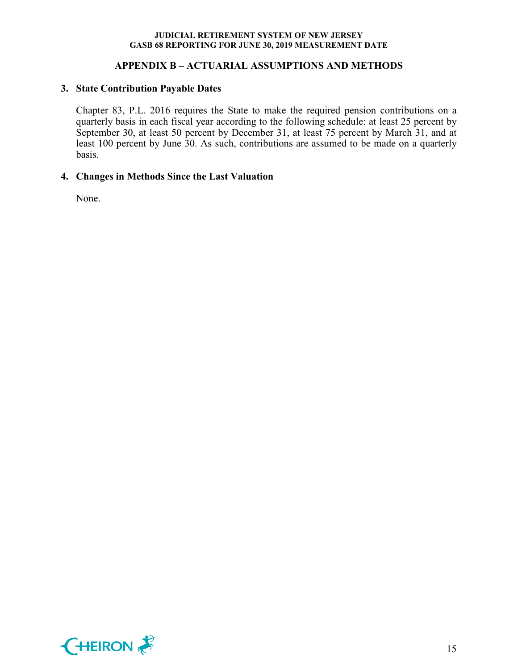## **APPENDIX B – ACTUARIAL ASSUMPTIONS AND METHODS**

#### **3. State Contribution Payable Dates**

Chapter 83, P.L. 2016 requires the State to make the required pension contributions on a quarterly basis in each fiscal year according to the following schedule: at least 25 percent by September 30, at least 50 percent by December 31, at least 75 percent by March 31, and at least 100 percent by June 30. As such, contributions are assumed to be made on a quarterly basis.

## **4. Changes in Methods Since the Last Valuation**

None.

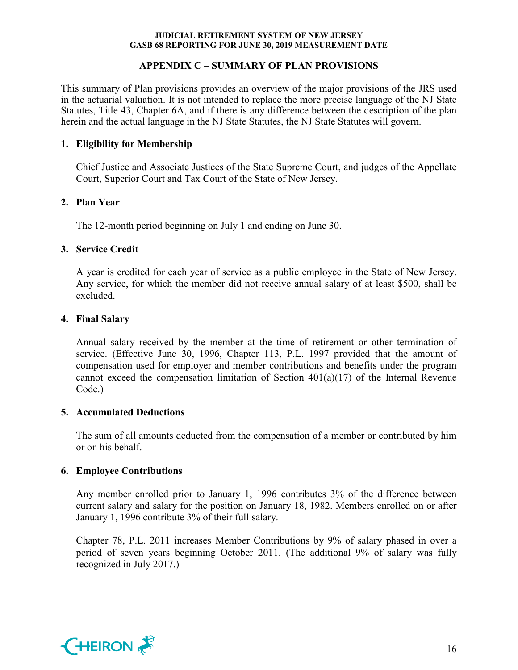## **APPENDIX C – SUMMARY OF PLAN PROVISIONS**

This summary of Plan provisions provides an overview of the major provisions of the JRS used in the actuarial valuation. It is not intended to replace the more precise language of the NJ State Statutes, Title 43, Chapter 6A, and if there is any difference between the description of the plan herein and the actual language in the NJ State Statutes, the NJ State Statutes will govern.

## **1. Eligibility for Membership**

Chief Justice and Associate Justices of the State Supreme Court, and judges of the Appellate Court, Superior Court and Tax Court of the State of New Jersey.

## **2. Plan Year**

The 12-month period beginning on July 1 and ending on June 30.

## **3. Service Credit**

A year is credited for each year of service as a public employee in the State of New Jersey. Any service, for which the member did not receive annual salary of at least \$500, shall be excluded.

## **4. Final Salary**

Annual salary received by the member at the time of retirement or other termination of service. (Effective June 30, 1996, Chapter 113, P.L. 1997 provided that the amount of compensation used for employer and member contributions and benefits under the program cannot exceed the compensation limitation of Section  $401(a)(17)$  of the Internal Revenue Code.)

## **5. Accumulated Deductions**

The sum of all amounts deducted from the compensation of a member or contributed by him or on his behalf.

## **6. Employee Contributions**

Any member enrolled prior to January 1, 1996 contributes 3% of the difference between current salary and salary for the position on January 18, 1982. Members enrolled on or after January 1, 1996 contribute 3% of their full salary.

Chapter 78, P.L. 2011 increases Member Contributions by 9% of salary phased in over a period of seven years beginning October 2011. (The additional 9% of salary was fully recognized in July 2017.)

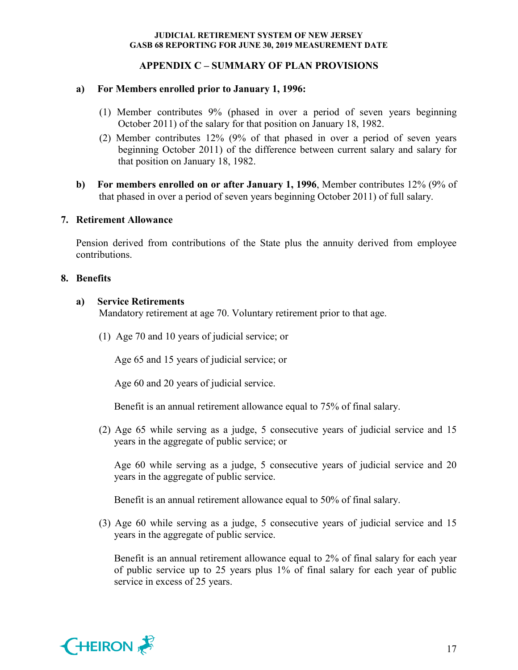## **APPENDIX C – SUMMARY OF PLAN PROVISIONS**

#### **a) For Members enrolled prior to January 1, 1996:**

- (1) Member contributes 9% (phased in over a period of seven years beginning October 2011) of the salary for that position on January 18, 1982.
- (2) Member contributes 12% (9% of that phased in over a period of seven years beginning October 2011) of the difference between current salary and salary for that position on January 18, 1982.
- **b) For members enrolled on or after January 1, 1996**, Member contributes 12% (9% of that phased in over a period of seven years beginning October 2011) of full salary.

#### **7. Retirement Allowance**

Pension derived from contributions of the State plus the annuity derived from employee contributions.

#### **8. Benefits**

#### **a) Service Retirements**

Mandatory retirement at age 70. Voluntary retirement prior to that age.

(1) Age 70 and 10 years of judicial service; or

Age 65 and 15 years of judicial service; or

Age 60 and 20 years of judicial service.

Benefit is an annual retirement allowance equal to 75% of final salary.

(2) Age 65 while serving as a judge, 5 consecutive years of judicial service and 15 years in the aggregate of public service; or

Age 60 while serving as a judge, 5 consecutive years of judicial service and 20 years in the aggregate of public service.

Benefit is an annual retirement allowance equal to 50% of final salary.

(3) Age 60 while serving as a judge, 5 consecutive years of judicial service and 15 years in the aggregate of public service.

Benefit is an annual retirement allowance equal to 2% of final salary for each year of public service up to 25 years plus 1% of final salary for each year of public service in excess of 25 years.

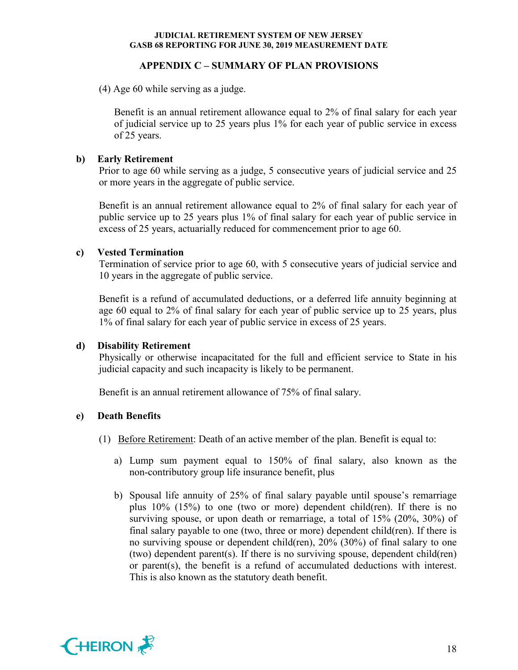## **APPENDIX C – SUMMARY OF PLAN PROVISIONS**

(4) Age 60 while serving as a judge.

Benefit is an annual retirement allowance equal to 2% of final salary for each year of judicial service up to 25 years plus 1% for each year of public service in excess of 25 years.

## **b) Early Retirement**

Prior to age 60 while serving as a judge, 5 consecutive years of judicial service and 25 or more years in the aggregate of public service.

Benefit is an annual retirement allowance equal to 2% of final salary for each year of public service up to 25 years plus 1% of final salary for each year of public service in excess of 25 years, actuarially reduced for commencement prior to age 60.

## **c) Vested Termination**

Termination of service prior to age 60, with 5 consecutive years of judicial service and 10 years in the aggregate of public service.

Benefit is a refund of accumulated deductions, or a deferred life annuity beginning at age 60 equal to 2% of final salary for each year of public service up to 25 years, plus 1% of final salary for each year of public service in excess of 25 years.

## **d) Disability Retirement**

Physically or otherwise incapacitated for the full and efficient service to State in his judicial capacity and such incapacity is likely to be permanent.

Benefit is an annual retirement allowance of 75% of final salary.

#### **e) Death Benefits**

- (1) Before Retirement: Death of an active member of the plan. Benefit is equal to:
	- a) Lump sum payment equal to 150% of final salary, also known as the non-contributory group life insurance benefit, plus
	- b) Spousal life annuity of 25% of final salary payable until spouse's remarriage plus 10% (15%) to one (two or more) dependent child(ren). If there is no surviving spouse, or upon death or remarriage, a total of 15% (20%, 30%) of final salary payable to one (two, three or more) dependent child(ren). If there is no surviving spouse or dependent child(ren), 20% (30%) of final salary to one (two) dependent parent(s). If there is no surviving spouse, dependent child(ren) or parent(s), the benefit is a refund of accumulated deductions with interest. This is also known as the statutory death benefit.

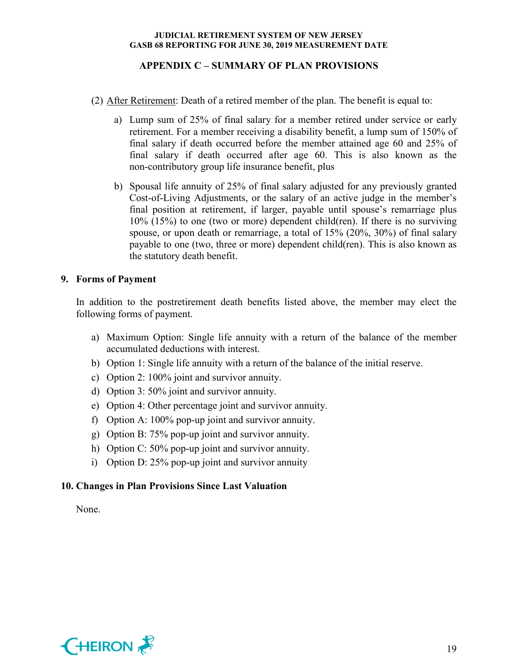## **APPENDIX C – SUMMARY OF PLAN PROVISIONS**

- (2) After Retirement: Death of a retired member of the plan. The benefit is equal to:
	- a) Lump sum of 25% of final salary for a member retired under service or early retirement. For a member receiving a disability benefit, a lump sum of 150% of final salary if death occurred before the member attained age 60 and 25% of final salary if death occurred after age 60. This is also known as the non-contributory group life insurance benefit, plus
	- b) Spousal life annuity of 25% of final salary adjusted for any previously granted Cost-of-Living Adjustments, or the salary of an active judge in the member's final position at retirement, if larger, payable until spouse's remarriage plus 10% (15%) to one (two or more) dependent child(ren). If there is no surviving spouse, or upon death or remarriage, a total of 15% (20%, 30%) of final salary payable to one (two, three or more) dependent child(ren). This is also known as the statutory death benefit.

## **9. Forms of Payment**

In addition to the postretirement death benefits listed above, the member may elect the following forms of payment.

- a) Maximum Option: Single life annuity with a return of the balance of the member accumulated deductions with interest.
- b) Option 1: Single life annuity with a return of the balance of the initial reserve.
- c) Option 2: 100% joint and survivor annuity.
- d) Option 3: 50% joint and survivor annuity.
- e) Option 4: Other percentage joint and survivor annuity.
- f) Option A: 100% pop-up joint and survivor annuity.
- g) Option B: 75% pop-up joint and survivor annuity.
- h) Option C: 50% pop-up joint and survivor annuity.
- i) Option D: 25% pop-up joint and survivor annuity

#### **10. Changes in Plan Provisions Since Last Valuation**

None.

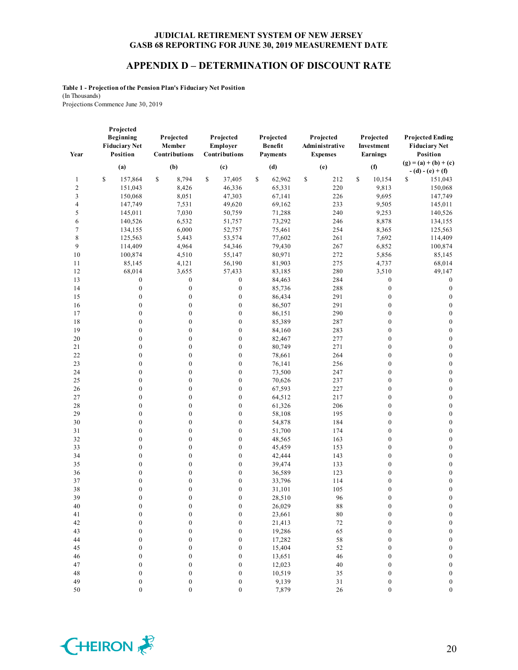#### **APPENDIX D – DETERMINATION OF DISCOUNT RATE**

**Table 1 - Projection of the Pension Plan's Fiduciary Net Position** (In Thousands) Projections Commence June 30, 2019

| Year   | Projected<br>Beginning<br><b>Fiduciary Net</b><br>Position | Projected<br>Member<br>Contributions | Projected<br>Employer<br>Contributions | Projected<br><b>Benefit</b><br><b>Payments</b> | Projected<br>Administrative<br><b>Expenses</b> | Projected<br>Investment<br>Earnings | <b>Projected Ending</b><br><b>Fiduciary Net</b><br>Position |
|--------|------------------------------------------------------------|--------------------------------------|----------------------------------------|------------------------------------------------|------------------------------------------------|-------------------------------------|-------------------------------------------------------------|
|        | (a)                                                        | (b)                                  | (c)                                    | (d)                                            | (e)                                            | (f)                                 | $(g) = (a) + (b) + (c)$                                     |
|        |                                                            |                                      |                                        |                                                |                                                |                                     | $- (d) - (e) + (f)$                                         |
| 1      | \$<br>157,864                                              | \$<br>8,794                          | S<br>37,405                            | \$<br>62,962                                   | \$<br>212                                      | \$<br>10,154                        | S<br>151,043                                                |
| 2      | 151,043                                                    | 8,426                                | 46,336                                 | 65,331                                         | 220                                            | 9,813                               | 150,068                                                     |
| 3      | 150,068                                                    | 8,051                                | 47,303                                 | 67,141                                         | 226                                            | 9,695                               | 147,749                                                     |
| 4      | 147,749                                                    | 7,531                                | 49,620                                 | 69,162                                         | 233                                            | 9,505                               | 145,011                                                     |
| 5      | 145,011                                                    | 7,030                                | 50,759                                 | 71,288                                         | 240                                            | 9,253                               | 140,526                                                     |
| 6      | 140,526                                                    | 6,532                                | 51,757                                 | 73,292                                         | 246                                            | 8,878                               | 134,155                                                     |
| $\tau$ | 134,155                                                    | 6,000                                | 52,757                                 | 75,461                                         | 254                                            | 8,365                               | 125,563                                                     |
| 8      | 125,563                                                    | 5,443                                | 53,574                                 | 77,602                                         | 261                                            | 7,692                               | 114,409                                                     |
| 9      | 114,409                                                    | 4,964                                | 54,346                                 | 79,430                                         | 267                                            | 6,852                               | 100,874                                                     |
| 10     | 100,874                                                    | 4,510                                | 55,147                                 | 80,971                                         | 272                                            | 5,856                               | 85,145                                                      |
| 11     | 85,145                                                     | 4,121                                | 56,190                                 | 81,903                                         | 275                                            | 4,737                               | 68,014                                                      |
| 12     | 68,014                                                     | 3,655                                | 57,433                                 | 83,185                                         | 280                                            | 3,510                               | 49,147                                                      |
| 13     | $\boldsymbol{0}$                                           | $\boldsymbol{0}$                     | $\boldsymbol{0}$                       | 84,463                                         | 284                                            | $\boldsymbol{0}$                    | $\boldsymbol{0}$                                            |
| 14     | $\boldsymbol{0}$                                           | $\boldsymbol{0}$                     | $\boldsymbol{0}$                       | 85,736                                         | 288                                            | $\boldsymbol{0}$                    | $\boldsymbol{0}$                                            |
| 15     | $\boldsymbol{0}$                                           | $\boldsymbol{0}$                     | $\boldsymbol{0}$                       | 86,434                                         | 291                                            | $\boldsymbol{0}$                    | $\boldsymbol{0}$                                            |
| 16     | $\boldsymbol{0}$                                           | $\boldsymbol{0}$                     | $\boldsymbol{0}$                       | 86,507                                         | 291                                            | $\boldsymbol{0}$                    | $\boldsymbol{0}$                                            |
| 17     | $\boldsymbol{0}$                                           | $\boldsymbol{0}$                     | $\boldsymbol{0}$                       | 86,151                                         | 290                                            | $\boldsymbol{0}$                    | $\boldsymbol{0}$                                            |
| 18     | $\boldsymbol{0}$                                           | $\boldsymbol{0}$                     | $\boldsymbol{0}$                       | 85,389                                         | 287                                            | $\boldsymbol{0}$                    | $\boldsymbol{0}$                                            |
| 19     | $\boldsymbol{0}$                                           | $\boldsymbol{0}$                     | $\boldsymbol{0}$                       | 84,160                                         | 283                                            | $\boldsymbol{0}$                    | $\boldsymbol{0}$                                            |
| 20     | $\boldsymbol{0}$                                           | $\boldsymbol{0}$                     | $\boldsymbol{0}$                       | 82,467                                         | 277                                            | $\boldsymbol{0}$                    | $\boldsymbol{0}$                                            |
| 21     | $\boldsymbol{0}$                                           | $\boldsymbol{0}$                     | $\boldsymbol{0}$                       | 80,749                                         | 271                                            | $\boldsymbol{0}$                    | $\boldsymbol{0}$                                            |
| 22     | $\boldsymbol{0}$                                           | $\boldsymbol{0}$                     | $\boldsymbol{0}$                       | 78,661                                         | 264                                            | $\boldsymbol{0}$                    | $\boldsymbol{0}$                                            |
| 23     | $\boldsymbol{0}$                                           | $\boldsymbol{0}$                     | $\boldsymbol{0}$                       | 76,141                                         | 256                                            | $\boldsymbol{0}$                    | $\boldsymbol{0}$                                            |
| 24     | $\boldsymbol{0}$                                           | $\boldsymbol{0}$                     | $\boldsymbol{0}$                       | 73,500                                         | 247                                            | $\boldsymbol{0}$                    | $\boldsymbol{0}$                                            |
| 25     | $\boldsymbol{0}$                                           | $\boldsymbol{0}$                     | $\boldsymbol{0}$                       | 70,626                                         | 237                                            | $\boldsymbol{0}$                    | $\boldsymbol{0}$                                            |
| 26     | $\overline{0}$                                             | $\boldsymbol{0}$                     | $\boldsymbol{0}$                       | 67,593                                         | 227                                            | $\boldsymbol{0}$                    | $\boldsymbol{0}$                                            |
| 27     | $\boldsymbol{0}$                                           | $\boldsymbol{0}$                     | $\boldsymbol{0}$                       | 64,512                                         | 217                                            | $\boldsymbol{0}$                    | $\boldsymbol{0}$                                            |
| 28     | $\boldsymbol{0}$                                           | $\boldsymbol{0}$                     | $\boldsymbol{0}$                       | 61,326                                         | 206                                            | $\boldsymbol{0}$                    | $\boldsymbol{0}$                                            |
| 29     | $\boldsymbol{0}$                                           | $\boldsymbol{0}$                     | $\boldsymbol{0}$                       | 58,108                                         | 195                                            | $\boldsymbol{0}$                    | $\boldsymbol{0}$                                            |
| 30     | $\boldsymbol{0}$                                           | $\boldsymbol{0}$                     | $\boldsymbol{0}$                       | 54,878                                         | 184                                            | $\boldsymbol{0}$                    | $\boldsymbol{0}$                                            |
| 31     | $\boldsymbol{0}$                                           | $\boldsymbol{0}$                     | $\boldsymbol{0}$                       | 51,700                                         | 174                                            | $\boldsymbol{0}$                    | $\boldsymbol{0}$                                            |
| 32     | $\boldsymbol{0}$                                           | $\boldsymbol{0}$                     | $\boldsymbol{0}$                       | 48,565                                         | 163                                            | $\boldsymbol{0}$                    | $\boldsymbol{0}$                                            |
| 33     | $\boldsymbol{0}$                                           | $\boldsymbol{0}$                     | $\boldsymbol{0}$                       | 45,459                                         | 153                                            | $\boldsymbol{0}$                    | $\boldsymbol{0}$                                            |
| 34     | $\boldsymbol{0}$                                           | $\boldsymbol{0}$                     | $\boldsymbol{0}$                       | 42,444                                         | 143                                            | $\boldsymbol{0}$                    | $\boldsymbol{0}$                                            |
| 35     | $\boldsymbol{0}$                                           | $\boldsymbol{0}$                     | $\boldsymbol{0}$                       | 39,474                                         | 133                                            | $\boldsymbol{0}$                    | $\boldsymbol{0}$                                            |
| 36     | $\boldsymbol{0}$                                           | $\boldsymbol{0}$                     | $\boldsymbol{0}$                       | 36,589                                         | 123                                            | $\boldsymbol{0}$                    | $\boldsymbol{0}$                                            |
| 37     | $\boldsymbol{0}$                                           | $\boldsymbol{0}$                     | $\boldsymbol{0}$                       | 33,796                                         | 114                                            | $\boldsymbol{0}$                    | $\boldsymbol{0}$                                            |
| 38     | $\boldsymbol{0}$                                           | $\boldsymbol{0}$                     | $\boldsymbol{0}$                       | 31,101                                         | 105                                            | $\boldsymbol{0}$                    | $\boldsymbol{0}$                                            |
| 39     | $\overline{0}$                                             | $\mathbf{0}$                         | $\boldsymbol{0}$                       | 28,510                                         | 96                                             | $\boldsymbol{0}$                    | $\boldsymbol{0}$                                            |
| 40     | $\boldsymbol{0}$                                           | $\bf{0}$                             | $\boldsymbol{0}$                       | 26,029                                         | 88                                             | $\bf{0}$                            | $\bf{0}$                                                    |
| 41     | $\boldsymbol{0}$                                           | $\boldsymbol{0}$                     | $\boldsymbol{0}$                       | 23,661                                         | $\bf 80$                                       | $\boldsymbol{0}$                    | $\boldsymbol{0}$                                            |
| 42     | $\boldsymbol{0}$                                           | $\boldsymbol{0}$                     | $\boldsymbol{0}$                       | 21,413                                         | 72                                             | $\boldsymbol{0}$                    | $\boldsymbol{0}$                                            |
| 43     | $\overline{0}$                                             | $\mathbf{0}$                         | $\boldsymbol{0}$                       | 19,286                                         | 65                                             | $\boldsymbol{0}$                    | $\boldsymbol{0}$                                            |
| 44     | $\boldsymbol{0}$                                           | $\boldsymbol{0}$                     | $\boldsymbol{0}$                       | 17,282                                         | 58                                             | $\boldsymbol{0}$                    | $\boldsymbol{0}$                                            |
| 45     | $\boldsymbol{0}$                                           | $\boldsymbol{0}$                     | $\boldsymbol{0}$                       | 15,404                                         | 52                                             | $\boldsymbol{0}$                    | $\boldsymbol{0}$                                            |
| 46     | $\boldsymbol{0}$                                           | $\mathbf{0}$                         | $\mathbf{0}$                           | 13,651                                         | 46                                             | $\boldsymbol{0}$                    | $\boldsymbol{0}$                                            |
| 47     | $\boldsymbol{0}$                                           | $\boldsymbol{0}$                     | $\boldsymbol{0}$                       | 12,023                                         | 40                                             | $\boldsymbol{0}$                    | $\boldsymbol{0}$                                            |
| 48     | $\boldsymbol{0}$                                           | $\boldsymbol{0}$                     | $\boldsymbol{0}$                       | 10,519                                         | 35                                             | $\boldsymbol{0}$                    | $\boldsymbol{0}$                                            |
| 49     | $\boldsymbol{0}$                                           | $\boldsymbol{0}$                     | $\boldsymbol{0}$                       | 9,139                                          | $31\,$                                         | $\boldsymbol{0}$                    | $\boldsymbol{0}$                                            |
| $50\,$ | $\boldsymbol{0}$                                           | $\boldsymbol{0}$                     | $\boldsymbol{0}$                       | 7,879                                          | 26                                             | $\boldsymbol{0}$                    | $\boldsymbol{0}$                                            |

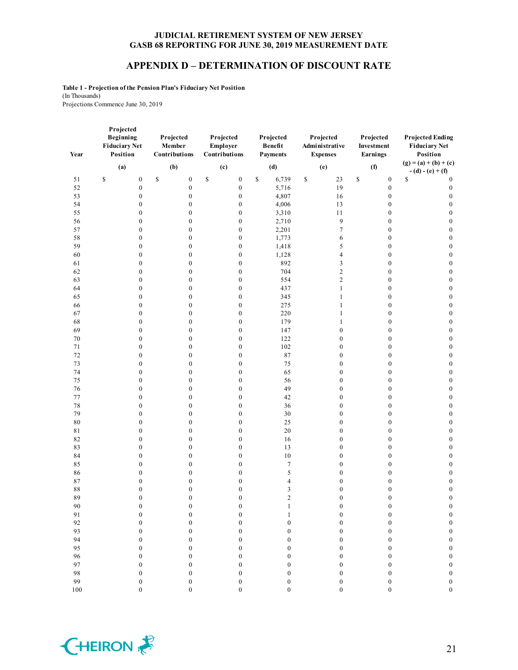#### **APPENDIX D – DETERMINATION OF DISCOUNT RATE**

**Table 1 - Projection of the Pension Plan's Fiduciary Net Position** (In Thousands) Projections Commence June 30, 2019

| Year     | Projected<br><b>Beginning</b><br><b>Fiduciary Net</b><br>Position | Projected<br>Member<br>Contributions | Projected<br>Employer<br>Contributions | Projected<br><b>Benefit</b><br>Payments | Projected<br>Administrative<br><b>Expenses</b> | Projected<br>Investment<br>Earnings  | <b>Projected Ending</b><br><b>Fiduciary Net</b><br>Position |
|----------|-------------------------------------------------------------------|--------------------------------------|----------------------------------------|-----------------------------------------|------------------------------------------------|--------------------------------------|-------------------------------------------------------------|
|          | (a)                                                               | (b)                                  | (c)                                    | (d)                                     | (e)                                            | (f)                                  | $(g) = (a) + (b) + (c)$                                     |
| 51       | $\mathbb S$<br>$\boldsymbol{0}$                                   | \$<br>$\boldsymbol{0}$               | \$<br>$\boldsymbol{0}$                 | \$<br>6,739                             | $\mathbb{S}$<br>23                             | \$<br>$\boldsymbol{0}$               | $- (d) - (e) + (f)$<br>\$                                   |
| 52       | $\boldsymbol{0}$                                                  | $\boldsymbol{0}$                     | $\boldsymbol{0}$                       | 5,716                                   | 19                                             | $\boldsymbol{0}$                     | $\boldsymbol{0}$<br>$\boldsymbol{0}$                        |
| 53       | $\boldsymbol{0}$                                                  | $\boldsymbol{0}$                     | $\boldsymbol{0}$                       | 4,807                                   | 16                                             | $\boldsymbol{0}$                     | $\boldsymbol{0}$                                            |
| 54       | $\boldsymbol{0}$                                                  | $\boldsymbol{0}$                     | $\boldsymbol{0}$                       | 4,006                                   | 13                                             | $\boldsymbol{0}$                     | $\boldsymbol{0}$                                            |
| 55       | $\boldsymbol{0}$                                                  | $\boldsymbol{0}$                     | $\boldsymbol{0}$                       | 3,310                                   | 11                                             | $\boldsymbol{0}$                     | $\boldsymbol{0}$                                            |
| 56       | $\boldsymbol{0}$                                                  | $\boldsymbol{0}$                     | $\boldsymbol{0}$                       | 2,710                                   | 9                                              | $\boldsymbol{0}$                     | $\boldsymbol{0}$                                            |
| 57       | $\boldsymbol{0}$                                                  | $\boldsymbol{0}$                     | $\boldsymbol{0}$                       | 2,201                                   | $\tau$                                         | $\boldsymbol{0}$                     | $\boldsymbol{0}$                                            |
| 58       | $\boldsymbol{0}$                                                  | $\boldsymbol{0}$                     | $\boldsymbol{0}$                       | 1,773                                   | 6                                              | $\boldsymbol{0}$                     | $\boldsymbol{0}$                                            |
| 59       | $\boldsymbol{0}$                                                  | $\boldsymbol{0}$                     | $\boldsymbol{0}$                       | 1,418                                   | 5                                              | $\boldsymbol{0}$                     | $\boldsymbol{0}$                                            |
| 60       | $\boldsymbol{0}$                                                  | $\boldsymbol{0}$                     | $\boldsymbol{0}$                       | 1,128                                   | $\overline{4}$                                 | $\boldsymbol{0}$                     | $\boldsymbol{0}$                                            |
| 61       | $\boldsymbol{0}$                                                  | $\boldsymbol{0}$                     | $\boldsymbol{0}$                       | 892                                     | 3                                              | $\boldsymbol{0}$                     | $\boldsymbol{0}$                                            |
| 62       | $\boldsymbol{0}$                                                  | $\boldsymbol{0}$                     | $\boldsymbol{0}$                       | 704                                     | $\overline{c}$                                 | $\boldsymbol{0}$                     | $\boldsymbol{0}$                                            |
| 63       | $\boldsymbol{0}$                                                  | $\boldsymbol{0}$                     | $\boldsymbol{0}$                       | 554                                     | $\overline{c}$                                 | $\boldsymbol{0}$                     | $\boldsymbol{0}$                                            |
| 64       | $\boldsymbol{0}$                                                  | $\boldsymbol{0}$                     | $\boldsymbol{0}$                       | 437                                     | $\mathbf{1}$                                   | $\boldsymbol{0}$                     | $\boldsymbol{0}$                                            |
| 65       | $\boldsymbol{0}$                                                  | $\boldsymbol{0}$                     | $\boldsymbol{0}$                       | 345                                     | $\mathbf{1}$                                   | $\boldsymbol{0}$                     | $\boldsymbol{0}$                                            |
| 66       | $\boldsymbol{0}$                                                  | $\boldsymbol{0}$                     | $\boldsymbol{0}$                       | 275                                     | $\mathbf{1}$                                   | $\boldsymbol{0}$                     | $\boldsymbol{0}$                                            |
| 67       | $\boldsymbol{0}$                                                  | $\boldsymbol{0}$                     | $\boldsymbol{0}$                       | 220                                     | $\mathbf{1}$                                   | $\boldsymbol{0}$                     | $\boldsymbol{0}$                                            |
| 68       | $\boldsymbol{0}$                                                  | $\boldsymbol{0}$                     | $\boldsymbol{0}$                       | 179                                     | $\mathbf{1}$                                   | $\boldsymbol{0}$                     | $\boldsymbol{0}$                                            |
| 69       | $\boldsymbol{0}$                                                  | $\boldsymbol{0}$                     | $\boldsymbol{0}$                       | 147                                     | $\boldsymbol{0}$                               | $\boldsymbol{0}$                     | $\boldsymbol{0}$                                            |
| 70       | $\boldsymbol{0}$                                                  | $\boldsymbol{0}$                     | $\boldsymbol{0}$                       | 122                                     | $\boldsymbol{0}$                               | $\boldsymbol{0}$                     | $\boldsymbol{0}$                                            |
| 71       | $\boldsymbol{0}$                                                  | $\boldsymbol{0}$                     | $\boldsymbol{0}$                       | 102                                     | $\boldsymbol{0}$                               | $\boldsymbol{0}$                     | $\boldsymbol{0}$                                            |
| $72\,$   | $\boldsymbol{0}$                                                  | $\boldsymbol{0}$                     | $\boldsymbol{0}$                       | 87                                      | $\boldsymbol{0}$                               | $\boldsymbol{0}$                     | $\boldsymbol{0}$                                            |
| 73       | $\boldsymbol{0}$                                                  | $\boldsymbol{0}$                     | $\boldsymbol{0}$                       | 75                                      | $\boldsymbol{0}$                               | $\boldsymbol{0}$                     | $\boldsymbol{0}$                                            |
| 74       | $\boldsymbol{0}$                                                  | $\boldsymbol{0}$                     | $\boldsymbol{0}$                       | 65                                      | $\boldsymbol{0}$                               | $\boldsymbol{0}$                     | $\boldsymbol{0}$                                            |
| 75<br>76 | $\boldsymbol{0}$<br>$\boldsymbol{0}$                              | $\boldsymbol{0}$<br>$\boldsymbol{0}$ | $\boldsymbol{0}$<br>$\boldsymbol{0}$   | 56<br>49                                | $\boldsymbol{0}$<br>$\boldsymbol{0}$           | $\boldsymbol{0}$<br>$\boldsymbol{0}$ | $\boldsymbol{0}$<br>$\boldsymbol{0}$                        |
| 77       | $\boldsymbol{0}$                                                  | $\boldsymbol{0}$                     | $\boldsymbol{0}$                       | 42                                      | $\boldsymbol{0}$                               | $\boldsymbol{0}$                     | $\boldsymbol{0}$                                            |
| 78       | $\boldsymbol{0}$                                                  | $\boldsymbol{0}$                     | $\boldsymbol{0}$                       | 36                                      | $\boldsymbol{0}$                               | $\boldsymbol{0}$                     | $\boldsymbol{0}$                                            |
| 79       | $\boldsymbol{0}$                                                  | $\boldsymbol{0}$                     | $\boldsymbol{0}$                       | 30                                      | $\boldsymbol{0}$                               | $\boldsymbol{0}$                     | $\boldsymbol{0}$                                            |
| $\bf 80$ | $\boldsymbol{0}$                                                  | $\boldsymbol{0}$                     | $\boldsymbol{0}$                       | 25                                      | $\boldsymbol{0}$                               | $\boldsymbol{0}$                     | $\boldsymbol{0}$                                            |
| 81       | $\boldsymbol{0}$                                                  | $\boldsymbol{0}$                     | $\boldsymbol{0}$                       | 20                                      | $\boldsymbol{0}$                               | $\boldsymbol{0}$                     | $\boldsymbol{0}$                                            |
| 82       | $\boldsymbol{0}$                                                  | $\boldsymbol{0}$                     | $\boldsymbol{0}$                       | 16                                      | $\boldsymbol{0}$                               | $\boldsymbol{0}$                     | $\boldsymbol{0}$                                            |
| 83       | $\boldsymbol{0}$                                                  | $\boldsymbol{0}$                     | $\boldsymbol{0}$                       | 13                                      | $\boldsymbol{0}$                               | $\boldsymbol{0}$                     | $\boldsymbol{0}$                                            |
| 84       | $\boldsymbol{0}$                                                  | $\boldsymbol{0}$                     | $\boldsymbol{0}$                       | $10\,$                                  | $\boldsymbol{0}$                               | $\boldsymbol{0}$                     | $\boldsymbol{0}$                                            |
| 85       | $\boldsymbol{0}$                                                  | $\boldsymbol{0}$                     | $\boldsymbol{0}$                       | $\tau$                                  | $\boldsymbol{0}$                               | $\boldsymbol{0}$                     | $\boldsymbol{0}$                                            |
| 86       | $\boldsymbol{0}$                                                  | $\boldsymbol{0}$                     | $\boldsymbol{0}$                       | 5                                       | $\boldsymbol{0}$                               | $\boldsymbol{0}$                     | $\boldsymbol{0}$                                            |
| 87       | $\boldsymbol{0}$                                                  | $\boldsymbol{0}$                     | $\boldsymbol{0}$                       | 4                                       | $\mathbf{0}$                                   | $\boldsymbol{0}$                     | $\boldsymbol{0}$                                            |
| 88       | $\boldsymbol{0}$                                                  | $\boldsymbol{0}$                     | $\boldsymbol{0}$                       | 3                                       | $\boldsymbol{0}$                               | $\boldsymbol{0}$                     | $\boldsymbol{0}$                                            |
| 89       | $\boldsymbol{0}$                                                  | $\boldsymbol{0}$                     | $\boldsymbol{0}$                       | $\overline{c}$                          | $\boldsymbol{0}$                               | $\boldsymbol{0}$                     | $\boldsymbol{0}$                                            |
| 90       | 0                                                                 | $\boldsymbol{0}$                     | $\boldsymbol{0}$                       | 1                                       | $\mathbf{0}$                                   | $\boldsymbol{0}$                     | $\boldsymbol{0}$                                            |
| 91       | $\boldsymbol{0}$                                                  | $\boldsymbol{0}$                     | $\boldsymbol{0}$                       | $\mathbf{1}$                            | $\boldsymbol{0}$                               | $\boldsymbol{0}$                     | $\boldsymbol{0}$                                            |
| 92       | $\boldsymbol{0}$                                                  | $\boldsymbol{0}$                     | $\boldsymbol{0}$                       | $\boldsymbol{0}$                        | $\boldsymbol{0}$                               | $\boldsymbol{0}$                     | $\boldsymbol{0}$                                            |
| 93       | $\boldsymbol{0}$                                                  | $\boldsymbol{0}$                     | $\boldsymbol{0}$                       | $\boldsymbol{0}$                        | $\boldsymbol{0}$                               | $\boldsymbol{0}$                     | $\boldsymbol{0}$                                            |
| 94       | $\boldsymbol{0}$                                                  | $\boldsymbol{0}$                     | $\boldsymbol{0}$                       | $\boldsymbol{0}$                        | $\boldsymbol{0}$                               | $\boldsymbol{0}$                     | $\boldsymbol{0}$                                            |
| 95<br>96 | $\boldsymbol{0}$                                                  | $\boldsymbol{0}$                     | $\boldsymbol{0}$                       | $\boldsymbol{0}$                        | $\boldsymbol{0}$                               | $\boldsymbol{0}$                     | $\boldsymbol{0}$                                            |
| 97       | $\boldsymbol{0}$                                                  | $\boldsymbol{0}$                     | $\boldsymbol{0}$                       | $\boldsymbol{0}$                        | $\boldsymbol{0}$                               | $\boldsymbol{0}$                     | $\boldsymbol{0}$                                            |
| 98       | $\boldsymbol{0}$<br>$\boldsymbol{0}$                              | $\boldsymbol{0}$<br>$\boldsymbol{0}$ | $\boldsymbol{0}$<br>$\boldsymbol{0}$   | $\boldsymbol{0}$<br>$\boldsymbol{0}$    | $\boldsymbol{0}$<br>$\boldsymbol{0}$           | $\boldsymbol{0}$<br>$\boldsymbol{0}$ | $\boldsymbol{0}$<br>$\boldsymbol{0}$                        |
| 99       | $\overline{0}$                                                    | $\overline{0}$                       | $\boldsymbol{0}$                       | $\mathbf{0}$                            | $\overline{0}$                                 | $\boldsymbol{0}$                     | $\boldsymbol{0}$                                            |
|          |                                                                   |                                      |                                        |                                         |                                                |                                      |                                                             |

0 0 0 0 0 0 0

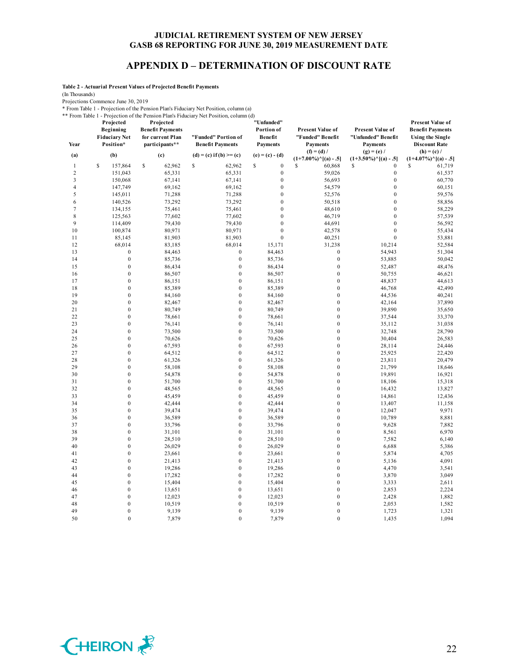#### **APPENDIX D – DETERMINATION OF DISCOUNT RATE**

**Table 2 - Actuarial Present Values of Projected Benefit Payments**

(In Thousands)

Projections Commence June 30, 2019

\* From Table 1 - Projection of the Pension Plan's Fiduciary Net Position, column (a)

\*\* From Table 1 - Projection of the Pension Plan's Fiduciary Net Position, column (d)

| Year<br>(a)    | Projected<br>Beginning<br><b>Fiduciary Net</b><br>Position*<br>(b) | Projected<br><b>Benefit Payments</b><br>for current Plan<br>participants**<br>(c) | "Funded" Portion of<br><b>Benefit Payments</b><br>$(d) = (c)$ if $(b) >= (c)$ | "Unfunded"<br>Portion of<br>Benefit<br><b>Payments</b><br>$(e) = (c) - (d)$ | <b>Present Value of</b><br>"Funded" Benefit<br><b>Payments</b><br>$(f) = (d) /$ | <b>Present Value of</b><br>"Unfunded" Benefit<br><b>Payments</b><br>$(g) = (e) /$ | <b>Present Value of</b><br><b>Benefit Payments</b><br><b>Using the Single</b><br><b>Discount Rate</b><br>$(h) = (c) /$ |
|----------------|--------------------------------------------------------------------|-----------------------------------------------------------------------------------|-------------------------------------------------------------------------------|-----------------------------------------------------------------------------|---------------------------------------------------------------------------------|-----------------------------------------------------------------------------------|------------------------------------------------------------------------------------------------------------------------|
|                |                                                                    |                                                                                   |                                                                               |                                                                             | $(1+7.00\%)^{\wedge}[(a) - .5]$                                                 | $(1+3.50\%)$ <sup>^</sup> [(a) - .5]                                              | $(1+4.07\%)$ <sup>^</sup> [(a) - .5]                                                                                   |
| $\mathbf{1}$   | S<br>157,864                                                       | \$<br>62,962                                                                      | \$<br>62,962                                                                  | \$<br>$\boldsymbol{0}$                                                      | S<br>60,868                                                                     | S<br>$\mathbf{0}$                                                                 | S<br>61,719                                                                                                            |
| $\overline{2}$ | 151,043                                                            | 65,331                                                                            | 65,331                                                                        | $\boldsymbol{0}$                                                            | 59,026                                                                          | $\boldsymbol{0}$                                                                  | 61,537                                                                                                                 |
| 3              | 150,068                                                            | 67,141                                                                            | 67,141                                                                        | $\boldsymbol{0}$                                                            | 56,693                                                                          | $\boldsymbol{0}$                                                                  | 60,770                                                                                                                 |
| $\overline{4}$ | 147,749                                                            | 69,162                                                                            | 69,162                                                                        | $\boldsymbol{0}$                                                            | 54,579                                                                          | $\mathbf{0}$                                                                      | 60,151                                                                                                                 |
| 5              | 145,011                                                            | 71,288                                                                            | 71,288                                                                        | $\boldsymbol{0}$                                                            | 52,576                                                                          | $\mathbf{0}$                                                                      | 59,576                                                                                                                 |
| 6              | 140,526                                                            | 73,292                                                                            | 73,292                                                                        | $\mathbf{0}$                                                                | 50,518                                                                          | $\mathbf{0}$                                                                      | 58,856                                                                                                                 |
| 7              | 134,155                                                            | 75,461                                                                            | 75,461                                                                        | $\boldsymbol{0}$                                                            | 48,610                                                                          | $\boldsymbol{0}$                                                                  | 58,229                                                                                                                 |
| $\,$ 8 $\,$    | 125,563                                                            | 77,602                                                                            | 77,602                                                                        | $\boldsymbol{0}$                                                            | 46,719                                                                          | $\boldsymbol{0}$                                                                  | 57,539                                                                                                                 |
| 9              | 114,409                                                            | 79,430                                                                            | 79,430                                                                        | $\mathbf{0}$                                                                | 44,691                                                                          | $\mathbf{0}$                                                                      | 56,592                                                                                                                 |
| 10             | 100,874                                                            | 80,971                                                                            | 80,971                                                                        | $\mathbf{0}$                                                                | 42,578                                                                          | $\mathbf{0}$                                                                      | 55,434                                                                                                                 |
| 11             | 85,145                                                             | 81,903                                                                            | 81,903                                                                        | $\mathbf{0}$                                                                | 40,251                                                                          | $\mathbf{0}$                                                                      | 53,881                                                                                                                 |
| 12             | 68,014                                                             | 83,185                                                                            | 68,014                                                                        | 15,171                                                                      | 31,238                                                                          | 10,214                                                                            | 52,584                                                                                                                 |
| 13             | $\boldsymbol{0}$<br>$\boldsymbol{0}$                               | 84,463                                                                            | $\boldsymbol{0}$<br>$\boldsymbol{0}$                                          | 84,463                                                                      | $\boldsymbol{0}$<br>$\boldsymbol{0}$                                            | 54,943                                                                            | 51,304                                                                                                                 |
| 14<br>15       | $\boldsymbol{0}$                                                   | 85,736                                                                            | $\boldsymbol{0}$                                                              | 85,736                                                                      | $\boldsymbol{0}$                                                                | 53,885                                                                            | 50,042                                                                                                                 |
| 16             | $\mathbf{0}$                                                       | 86,434<br>86,507                                                                  | $\mathbf{0}$                                                                  | 86,434<br>86,507                                                            | $\mathbf{0}$                                                                    | 52,487                                                                            | 48,476                                                                                                                 |
| 17             | $\boldsymbol{0}$                                                   | 86,151                                                                            | $\boldsymbol{0}$                                                              | 86,151                                                                      | $\boldsymbol{0}$                                                                | 50,755<br>48,837                                                                  | 46,621<br>44,613                                                                                                       |
| 18             | $\boldsymbol{0}$                                                   | 85,389                                                                            | $\boldsymbol{0}$                                                              | 85,389                                                                      | $\boldsymbol{0}$                                                                | 46,768                                                                            | 42,490                                                                                                                 |
| 19             | $\boldsymbol{0}$                                                   | 84,160                                                                            | $\mathbf{0}$                                                                  | 84,160                                                                      | $\mathbf{0}$                                                                    | 44,536                                                                            | 40,241                                                                                                                 |
| 20             | $\mathbf{0}$                                                       | 82,467                                                                            | $\mathbf{0}$                                                                  | 82,467                                                                      | $\mathbf{0}$                                                                    | 42,164                                                                            | 37,890                                                                                                                 |
| 21             | $\boldsymbol{0}$                                                   | 80,749                                                                            | $\mathbf{0}$                                                                  | 80,749                                                                      | $\mathbf{0}$                                                                    | 39,890                                                                            | 35,650                                                                                                                 |
| 22             | $\boldsymbol{0}$                                                   | 78,661                                                                            | $\boldsymbol{0}$                                                              | 78,661                                                                      | $\boldsymbol{0}$                                                                | 37,544                                                                            | 33,370                                                                                                                 |
| 23             | $\boldsymbol{0}$                                                   | 76,141                                                                            | $\boldsymbol{0}$                                                              | 76,141                                                                      | $\boldsymbol{0}$                                                                | 35,112                                                                            | 31,038                                                                                                                 |
| 24             | $\boldsymbol{0}$                                                   | 73,500                                                                            | $\boldsymbol{0}$                                                              | 73,500                                                                      | $\boldsymbol{0}$                                                                | 32,748                                                                            | 28,790                                                                                                                 |
| 25             | $\mathbf{0}$                                                       | 70,626                                                                            | $\mathbf{0}$                                                                  | 70,626                                                                      | $\mathbf{0}$                                                                    | 30,404                                                                            | 26,583                                                                                                                 |
| 26             | $\mathbf{0}$                                                       | 67,593                                                                            | $\mathbf{0}$                                                                  | 67,593                                                                      | $\mathbf{0}$                                                                    | 28,114                                                                            | 24,446                                                                                                                 |
| 27             | $\boldsymbol{0}$                                                   | 64,512                                                                            | $\boldsymbol{0}$                                                              | 64,512                                                                      | $\boldsymbol{0}$                                                                | 25,925                                                                            | 22,420                                                                                                                 |
| 28             | $\boldsymbol{0}$                                                   | 61,326                                                                            | $\boldsymbol{0}$                                                              | 61,326                                                                      | $\boldsymbol{0}$                                                                | 23,811                                                                            | 20,479                                                                                                                 |
| 29             | $\boldsymbol{0}$                                                   | 58,108                                                                            | $\boldsymbol{0}$                                                              | 58,108                                                                      | $\boldsymbol{0}$                                                                | 21,799                                                                            | 18,646                                                                                                                 |
| 30             | $\mathbf{0}$                                                       | 54,878                                                                            | $\mathbf{0}$                                                                  | 54,878                                                                      | $\mathbf{0}$                                                                    | 19,891                                                                            | 16,921                                                                                                                 |
| 31             | $\boldsymbol{0}$                                                   | 51,700                                                                            | $\mathbf{0}$                                                                  | 51,700                                                                      | $\mathbf{0}$                                                                    | 18,106                                                                            | 15,318                                                                                                                 |
| 32             | $\boldsymbol{0}$                                                   | 48,565                                                                            | $\boldsymbol{0}$                                                              | 48,565                                                                      | $\boldsymbol{0}$                                                                | 16,432                                                                            | 13,827                                                                                                                 |
| 33             | $\boldsymbol{0}$                                                   | 45,459                                                                            | $\mathbf{0}$                                                                  | 45,459                                                                      | $\boldsymbol{0}$                                                                | 14,861                                                                            | 12,436                                                                                                                 |
| 34             | $\boldsymbol{0}$                                                   | 42,444                                                                            | $\boldsymbol{0}$                                                              | 42,444                                                                      | $\boldsymbol{0}$                                                                | 13,407                                                                            | 11,158                                                                                                                 |
| 35             | $\mathbf{0}$                                                       | 39,474                                                                            | $\mathbf{0}$                                                                  | 39,474                                                                      | $\mathbf{0}$                                                                    | 12,047                                                                            | 9,971                                                                                                                  |
| 36             | $\mathbf{0}$                                                       | 36,589                                                                            | $\mathbf{0}$                                                                  | 36,589                                                                      | $\mathbf{0}$                                                                    | 10,789                                                                            | 8,881                                                                                                                  |
| 37             | $\boldsymbol{0}$                                                   | 33,796                                                                            | $\boldsymbol{0}$                                                              | 33,796                                                                      | $\boldsymbol{0}$                                                                | 9,628                                                                             | 7,882                                                                                                                  |
| 38             | $\boldsymbol{0}$                                                   | 31,101                                                                            | $\boldsymbol{0}$                                                              | 31,101                                                                      | $\boldsymbol{0}$                                                                | 8,561                                                                             | 6,970                                                                                                                  |
| 39             | $\boldsymbol{0}$                                                   | 28,510                                                                            | $\mathbf{0}$                                                                  | 28,510                                                                      | $\boldsymbol{0}$                                                                | 7,582                                                                             | 6,140                                                                                                                  |
| 40             | $\boldsymbol{0}$                                                   | 26,029                                                                            | $\mathbf{0}$                                                                  | 26,029                                                                      | $\boldsymbol{0}$                                                                | 6,688                                                                             | 5,386                                                                                                                  |
| 41             | $\mathbf{0}$                                                       | 23,661                                                                            | $\mathbf{0}$                                                                  | 23,661                                                                      | $\mathbf{0}$                                                                    | 5,874                                                                             | 4,705                                                                                                                  |
| 42             | $\boldsymbol{0}$                                                   | 21,413                                                                            | $\boldsymbol{0}$                                                              | 21,413                                                                      | $\boldsymbol{0}$                                                                | 5,136                                                                             | 4,091                                                                                                                  |
| 43             | $\boldsymbol{0}$                                                   | 19,286                                                                            | $\boldsymbol{0}$                                                              | 19,286                                                                      | $\boldsymbol{0}$                                                                | 4,470                                                                             | 3,541                                                                                                                  |
| 44             | $\boldsymbol{0}$                                                   | 17,282                                                                            | $\mathbf{0}$                                                                  | 17,282                                                                      | $\boldsymbol{0}$                                                                | 3,870                                                                             | 3,049                                                                                                                  |
| 45             | $\boldsymbol{0}$                                                   | 15,404                                                                            | $\mathbf{0}$                                                                  | 15,404                                                                      | $\mathbf{0}$                                                                    | 3,333                                                                             | 2,611                                                                                                                  |
| 46             | $\mathbf{0}$                                                       | 13,651                                                                            | $\mathbf{0}$                                                                  | 13,651                                                                      | $\mathbf{0}$                                                                    | 2,853                                                                             | 2,224                                                                                                                  |
| 47             | $\boldsymbol{0}$                                                   | 12,023                                                                            | $\boldsymbol{0}$                                                              | 12,023                                                                      | $\boldsymbol{0}$                                                                | 2,428                                                                             | 1,882                                                                                                                  |
| 48             | $\boldsymbol{0}$                                                   | 10,519                                                                            | $\mathbf{0}$                                                                  | 10,519                                                                      | $\boldsymbol{0}$                                                                | 2,053                                                                             | 1,582                                                                                                                  |
| 49             | $\boldsymbol{0}$                                                   | 9,139                                                                             | $\mathbf{0}$                                                                  | 9,139                                                                       | $\mathbf{0}$                                                                    | 1,723                                                                             | 1,321                                                                                                                  |
| 50             | $\theta$                                                           | 7,879                                                                             | $\Omega$                                                                      | 7,879                                                                       | $\theta$                                                                        | 1,435                                                                             | 1,094                                                                                                                  |

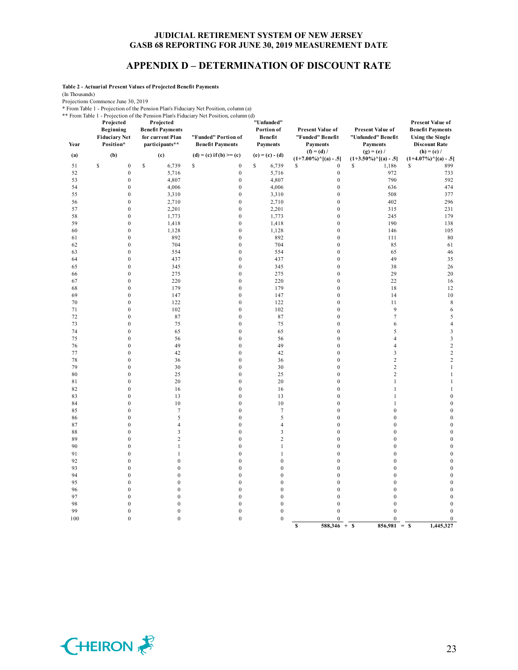#### **APPENDIX D – DETERMINATION OF DISCOUNT RATE**

**Table 2 - Actuarial Present Values of Projected Benefit Payments**

(In Thousands)

Projections Commence June 30, 2019

\* From Table 1 - Projection of the Pension Plan's Fiduciary Net Position, column (a)

\*\* From Table 1 - Projection of the Pension Plan's Fiduciary Net Position, column (d)

| Year     | Projected<br>Beginning<br><b>Fiduciary Net</b><br>Position* | Projected<br><b>Benefit Payments</b><br>for current Plan<br>participants** | From Table 1 - Projection of the Pension Plan's Figuerary Net Position, column (d)<br>"Funded" Portion of<br><b>Benefit Payments</b> | "Unfunded"<br>Portion of<br>Benefit<br><b>Payments</b> | <b>Present Value of</b><br>"Funded" Benefit<br><b>Payments</b> | Present Value of<br>"Unfunded" Benefit<br><b>Payments</b> | Present Value of<br><b>Benefit Payments</b><br><b>Using the Single</b><br><b>Discount Rate</b> |
|----------|-------------------------------------------------------------|----------------------------------------------------------------------------|--------------------------------------------------------------------------------------------------------------------------------------|--------------------------------------------------------|----------------------------------------------------------------|-----------------------------------------------------------|------------------------------------------------------------------------------------------------|
| (a)      | (b)                                                         | (c)                                                                        | $(d) = (c)$ if $(b) >= (c)$                                                                                                          | $(e) = (c) - (d)$                                      | $(f) = (d) /$<br>$(1+7.00\%)$ <sup>^</sup> [(a) - .5]          | $(g) = (e) /$<br>$(1+3.50\%)$ <sup>^</sup> [(a) - .5]     | $(h) = (c) /$<br>$(1+4.07\%)$ <sup>^</sup> [(a) - .5]                                          |
| 51       | \$<br>$\boldsymbol{0}$                                      | \$<br>6,739                                                                | \$<br>$\boldsymbol{0}$                                                                                                               | \$<br>6,739                                            | \$<br>$\boldsymbol{0}$                                         | s<br>1,186                                                | 899<br>\$                                                                                      |
| 52       | $\boldsymbol{0}$                                            | 5,716                                                                      | $\boldsymbol{0}$                                                                                                                     | 5,716                                                  | $\boldsymbol{0}$                                               | 972                                                       | 733                                                                                            |
| 53       | $\boldsymbol{0}$                                            | 4,807                                                                      | $\boldsymbol{0}$                                                                                                                     | 4,807                                                  | $\boldsymbol{0}$                                               | 790                                                       | 592                                                                                            |
| 54       | $\boldsymbol{0}$                                            | 4,006                                                                      | $\boldsymbol{0}$                                                                                                                     | 4,006                                                  | $\boldsymbol{0}$                                               | 636                                                       | 474                                                                                            |
| 55       | $\boldsymbol{0}$                                            | 3,310                                                                      | $\boldsymbol{0}$                                                                                                                     | 3,310                                                  | $\boldsymbol{0}$                                               | 508                                                       | 377                                                                                            |
| 56       | $\boldsymbol{0}$                                            | 2,710                                                                      | $\boldsymbol{0}$                                                                                                                     | 2,710                                                  | $\boldsymbol{0}$                                               | 402                                                       | 296                                                                                            |
| 57       | $\boldsymbol{0}$                                            | 2,201                                                                      | $\boldsymbol{0}$                                                                                                                     | 2,201                                                  | $\boldsymbol{0}$                                               | 315                                                       | 231                                                                                            |
| 58       | $\boldsymbol{0}$                                            | 1,773                                                                      | $\mathbf{0}$                                                                                                                         | 1,773                                                  | $\mathbf{0}$                                                   | 245                                                       | 179                                                                                            |
| 59       | $\boldsymbol{0}$                                            | 1,418                                                                      | $\boldsymbol{0}$                                                                                                                     | 1,418                                                  | $\boldsymbol{0}$                                               | 190                                                       | 138                                                                                            |
| 60       | $\boldsymbol{0}$                                            | 1,128                                                                      | $\boldsymbol{0}$                                                                                                                     | 1,128                                                  | $\boldsymbol{0}$                                               | 146                                                       | 105                                                                                            |
| 61       | $\boldsymbol{0}$                                            | 892                                                                        | $\boldsymbol{0}$                                                                                                                     | 892                                                    | $\boldsymbol{0}$                                               | 111                                                       | 80                                                                                             |
| 62       | $\boldsymbol{0}$                                            | 704                                                                        | $\boldsymbol{0}$                                                                                                                     | 704                                                    | $\boldsymbol{0}$                                               | 85                                                        | 61                                                                                             |
| 63       | $\boldsymbol{0}$                                            | 554                                                                        | $\boldsymbol{0}$                                                                                                                     | 554                                                    | $\boldsymbol{0}$                                               | 65                                                        | 46                                                                                             |
| 64       | $\boldsymbol{0}$                                            | 437                                                                        | $\boldsymbol{0}$                                                                                                                     | 437                                                    | $\boldsymbol{0}$                                               | 49                                                        | 35                                                                                             |
| 65       | $\boldsymbol{0}$                                            | 345                                                                        | $\boldsymbol{0}$                                                                                                                     | 345                                                    | $\boldsymbol{0}$                                               | 38                                                        | 26                                                                                             |
| 66       | $\boldsymbol{0}$                                            | 275                                                                        | $\boldsymbol{0}$                                                                                                                     | 275                                                    | $\boldsymbol{0}$                                               | 29                                                        | 20                                                                                             |
| 67       | $\boldsymbol{0}$                                            | 220                                                                        | $\boldsymbol{0}$                                                                                                                     | 220                                                    | $\boldsymbol{0}$                                               | 22                                                        | 16                                                                                             |
| 68       | $\boldsymbol{0}$                                            | 179                                                                        | $\mathbf{0}$                                                                                                                         | 179                                                    | $\boldsymbol{0}$                                               | 18                                                        | 12                                                                                             |
| 69       | $\boldsymbol{0}$                                            | 147                                                                        | $\boldsymbol{0}$                                                                                                                     | 147                                                    | $\boldsymbol{0}$                                               | 14                                                        | 10                                                                                             |
| 70       | $\boldsymbol{0}$                                            | 122                                                                        | $\boldsymbol{0}$                                                                                                                     | 122                                                    | $\boldsymbol{0}$                                               | 11                                                        | $\,$ 8 $\,$                                                                                    |
| 71       | $\boldsymbol{0}$                                            | 102                                                                        | $\boldsymbol{0}$                                                                                                                     | 102                                                    | $\boldsymbol{0}$                                               | 9                                                         | 6                                                                                              |
| 72       | $\boldsymbol{0}$                                            | 87                                                                         | $\boldsymbol{0}$                                                                                                                     | 87                                                     | $\boldsymbol{0}$                                               | $\tau$                                                    | 5                                                                                              |
| 73       | $\boldsymbol{0}$                                            | 75                                                                         | $\boldsymbol{0}$                                                                                                                     | 75                                                     | $\boldsymbol{0}$                                               | 6                                                         | $\overline{4}$                                                                                 |
| 74       | $\boldsymbol{0}$                                            | 65                                                                         | $\mathbf{0}$                                                                                                                         | 65                                                     | $\mathbf{0}$                                                   | 5                                                         | $\ensuremath{\mathfrak{Z}}$                                                                    |
| 75       | $\boldsymbol{0}$                                            | 56                                                                         | $\boldsymbol{0}$                                                                                                                     | 56                                                     | $\boldsymbol{0}$                                               | $\overline{4}$                                            | $\mathfrak{Z}$                                                                                 |
| 76       | $\boldsymbol{0}$                                            | 49                                                                         | $\boldsymbol{0}$                                                                                                                     | 49                                                     | $\boldsymbol{0}$                                               | $\overline{4}$                                            | $\sqrt{2}$                                                                                     |
| 77       | $\boldsymbol{0}$                                            | 42                                                                         | $\boldsymbol{0}$                                                                                                                     | 42                                                     | $\boldsymbol{0}$                                               | 3                                                         | $\sqrt{2}$                                                                                     |
| 78       | $\boldsymbol{0}$                                            | 36                                                                         | $\boldsymbol{0}$                                                                                                                     | 36                                                     | $\boldsymbol{0}$                                               | $\sqrt{2}$                                                | $\sqrt{2}$                                                                                     |
| 79       | $\mathbf{0}$                                                | 30                                                                         | $\mathbf{0}$                                                                                                                         | 30                                                     | $\mathbf{0}$                                                   | $\overline{c}$                                            | $\mathbf{1}$                                                                                   |
| 80       | $\mathbf{0}$                                                | 25                                                                         | $\mathbf{0}$                                                                                                                         | 25                                                     | $\mathbf{0}$                                                   | $\overline{c}$                                            | $1\,$                                                                                          |
| 81       | $\boldsymbol{0}$                                            | 20                                                                         | $\mathbf{0}$                                                                                                                         | 20                                                     | $\boldsymbol{0}$                                               | $\mathbf{1}$                                              | $\mathbf{1}$                                                                                   |
| 82       | $\boldsymbol{0}$                                            | 16                                                                         | $\boldsymbol{0}$                                                                                                                     | 16                                                     | $\boldsymbol{0}$                                               | 1                                                         | $\mathbf{1}$                                                                                   |
| 83       | $\boldsymbol{0}$                                            | 13                                                                         | $\boldsymbol{0}$                                                                                                                     | 13                                                     | $\boldsymbol{0}$                                               | 1                                                         | $\boldsymbol{0}$                                                                               |
| 84       | $\boldsymbol{0}$                                            | 10                                                                         | $\mathbf{0}$                                                                                                                         | 10                                                     | $\mathbf{0}$                                                   | $\mathbf{1}$                                              | $\boldsymbol{0}$                                                                               |
| 85       | $\mathbf{0}$                                                | $\tau$                                                                     | $\mathbf{0}$                                                                                                                         | $\tau$                                                 | $\mathbf{0}$                                                   | $\overline{0}$                                            | $\boldsymbol{0}$                                                                               |
| 86<br>87 | $\boldsymbol{0}$<br>$\boldsymbol{0}$                        | 5<br>$\overline{4}$                                                        | $\boldsymbol{0}$<br>$\boldsymbol{0}$                                                                                                 | 5<br>4                                                 | $\boldsymbol{0}$<br>$\boldsymbol{0}$                           | $\mathbf{0}$<br>$\mathbf{0}$                              | $\boldsymbol{0}$<br>$\boldsymbol{0}$                                                           |
|          | $\boldsymbol{0}$                                            | $\overline{\mathbf{3}}$                                                    | $\boldsymbol{0}$                                                                                                                     | 3                                                      | $\boldsymbol{0}$                                               | $\boldsymbol{0}$                                          | $\boldsymbol{0}$                                                                               |
| 88<br>89 | $\mathbf{0}$                                                | $\overline{c}$                                                             | $\mathbf{0}$                                                                                                                         | $\overline{c}$                                         | $\mathbf{0}$                                                   | $\boldsymbol{0}$                                          | $\boldsymbol{0}$                                                                               |
| 90       | $\mathbf{0}$                                                | $\mathbf{1}$                                                               | $\mathbf{0}$                                                                                                                         | 1                                                      | $\mathbf{0}$                                                   | $\boldsymbol{0}$                                          | $\boldsymbol{0}$                                                                               |
| 91       | $\boldsymbol{0}$                                            | $\mathbf{1}$                                                               | $\boldsymbol{0}$                                                                                                                     | $\mathbf{1}$                                           | $\boldsymbol{0}$                                               | $\boldsymbol{0}$                                          | $\boldsymbol{0}$                                                                               |
| 92       | $\boldsymbol{0}$                                            | $\boldsymbol{0}$                                                           | $\boldsymbol{0}$                                                                                                                     | $\boldsymbol{0}$                                       | $\boldsymbol{0}$                                               | $\boldsymbol{0}$                                          | $\boldsymbol{0}$                                                                               |
| 93       | $\boldsymbol{0}$                                            | $\boldsymbol{0}$                                                           | $\boldsymbol{0}$                                                                                                                     | $\boldsymbol{0}$                                       | $\boldsymbol{0}$                                               | $\overline{0}$                                            | $\mathbf{0}$                                                                                   |
| 94       | $\boldsymbol{0}$                                            | $\boldsymbol{0}$                                                           | $\boldsymbol{0}$                                                                                                                     | $\boldsymbol{0}$                                       | $\boldsymbol{0}$                                               | $\boldsymbol{0}$                                          | $\boldsymbol{0}$                                                                               |
| 95       | $\mathbf{0}$                                                | $\boldsymbol{0}$                                                           | $\mathbf{0}$                                                                                                                         | $\boldsymbol{0}$                                       | $\boldsymbol{0}$                                               | $\mathbf{0}$                                              | $\boldsymbol{0}$                                                                               |
| 96       | $\boldsymbol{0}$                                            | $\boldsymbol{0}$                                                           | $\boldsymbol{0}$                                                                                                                     | $\boldsymbol{0}$                                       | $\boldsymbol{0}$                                               | $\boldsymbol{0}$                                          | $\boldsymbol{0}$                                                                               |
| 97       | $\boldsymbol{0}$                                            | $\boldsymbol{0}$                                                           | $\boldsymbol{0}$                                                                                                                     | $\boldsymbol{0}$                                       | $\boldsymbol{0}$                                               | $\boldsymbol{0}$                                          | $\boldsymbol{0}$                                                                               |
| 98       | $\boldsymbol{0}$                                            | $\boldsymbol{0}$                                                           | $\boldsymbol{0}$                                                                                                                     | $\boldsymbol{0}$                                       | $\boldsymbol{0}$                                               | $\overline{0}$                                            | $\boldsymbol{0}$                                                                               |
| 99       | $\boldsymbol{0}$                                            | $\boldsymbol{0}$                                                           | $\boldsymbol{0}$                                                                                                                     | $\boldsymbol{0}$                                       | $\mathbf{0}$                                                   | $\mathbf{0}$                                              | $\boldsymbol{0}$                                                                               |
| 100      | $\mathbf{0}$                                                | $\mathbf{0}$                                                               | $\mathbf{0}$                                                                                                                         | $\mathbf{0}$                                           | $\mathbf{0}$                                                   | $\overline{0}$                                            | $\mathbf{0}$                                                                                   |
|          |                                                             |                                                                            |                                                                                                                                      |                                                        | $588,346 + S$<br>$\mathbf{s}$                                  | $856,981 = S$                                             | 1,445,327                                                                                      |

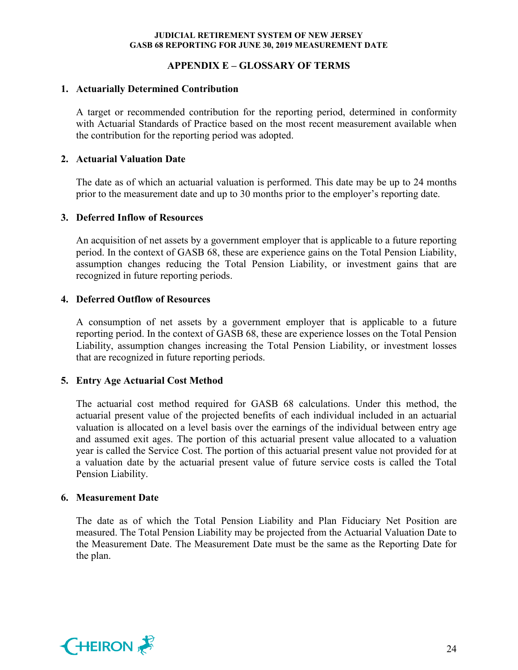## **APPENDIX E – GLOSSARY OF TERMS**

#### **1. Actuarially Determined Contribution**

A target or recommended contribution for the reporting period, determined in conformity with Actuarial Standards of Practice based on the most recent measurement available when the contribution for the reporting period was adopted.

#### **2. Actuarial Valuation Date**

The date as of which an actuarial valuation is performed. This date may be up to 24 months prior to the measurement date and up to 30 months prior to the employer's reporting date.

#### **3. Deferred Inflow of Resources**

An acquisition of net assets by a government employer that is applicable to a future reporting period. In the context of GASB 68, these are experience gains on the Total Pension Liability, assumption changes reducing the Total Pension Liability, or investment gains that are recognized in future reporting periods.

#### **4. Deferred Outflow of Resources**

A consumption of net assets by a government employer that is applicable to a future reporting period. In the context of GASB 68, these are experience losses on the Total Pension Liability, assumption changes increasing the Total Pension Liability, or investment losses that are recognized in future reporting periods.

#### **5. Entry Age Actuarial Cost Method**

The actuarial cost method required for GASB 68 calculations. Under this method, the actuarial present value of the projected benefits of each individual included in an actuarial valuation is allocated on a level basis over the earnings of the individual between entry age and assumed exit ages. The portion of this actuarial present value allocated to a valuation year is called the Service Cost. The portion of this actuarial present value not provided for at a valuation date by the actuarial present value of future service costs is called the Total Pension Liability.

#### **6. Measurement Date**

The date as of which the Total Pension Liability and Plan Fiduciary Net Position are measured. The Total Pension Liability may be projected from the Actuarial Valuation Date to the Measurement Date. The Measurement Date must be the same as the Reporting Date for the plan.